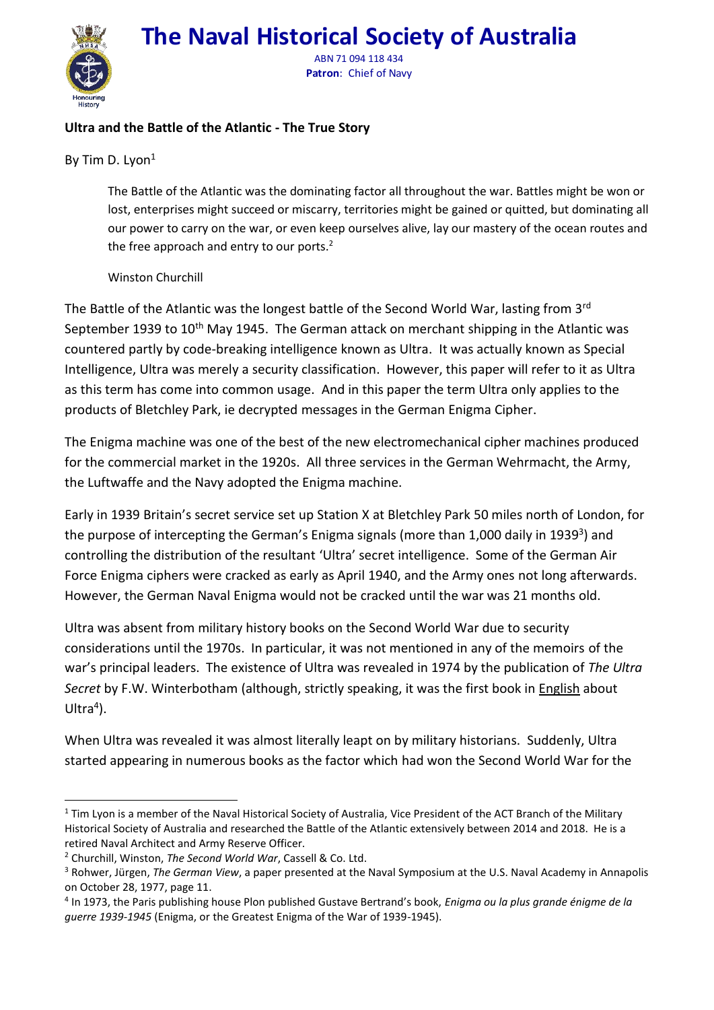

ABN 71 094 118 434 **Patron**: Chief of Navy

### **Ultra and the Battle of the Atlantic - The True Story**

#### By Tim D. Lyon<sup>1</sup>

The Battle of the Atlantic was the dominating factor all throughout the war. Battles might be won or lost, enterprises might succeed or miscarry, territories might be gained or quitted, but dominating all our power to carry on the war, or even keep ourselves alive, lay our mastery of the ocean routes and the free approach and entry to our ports.<sup>2</sup>

#### Winston Churchill

The Battle of the Atlantic was the longest battle of the Second World War, lasting from 3rd September 1939 to 10<sup>th</sup> May 1945. The German attack on merchant shipping in the Atlantic was countered partly by code-breaking intelligence known as Ultra. It was actually known as Special Intelligence, Ultra was merely a security classification. However, this paper will refer to it as Ultra as this term has come into common usage. And in this paper the term Ultra only applies to the products of Bletchley Park, ie decrypted messages in the German Enigma Cipher.

The Enigma machine was one of the best of the new electromechanical cipher machines produced for the commercial market in the 1920s. All three services in the German Wehrmacht, the Army, the Luftwaffe and the Navy adopted the Enigma machine.

Early in 1939 Britain's secret service set up Station X at Bletchley Park 50 miles north of London, for the purpose of intercepting the German's Enigma signals (more than 1,000 daily in 1939<sup>3</sup>) and controlling the distribution of the resultant 'Ultra' secret intelligence. Some of the German Air Force Enigma ciphers were cracked as early as April 1940, and the Army ones not long afterwards. However, the German Naval Enigma would not be cracked until the war was 21 months old.

Ultra was absent from military history books on the Second World War due to security considerations until the 1970s. In particular, it was not mentioned in any of the memoirs of the war's principal leaders. The existence of Ultra was revealed in 1974 by the publication of *The Ultra Secret* by F.W. Winterbotham (although, strictly speaking, it was the first book in English about  $U$ Itra<sup>4</sup>).

When Ultra was revealed it was almost literally leapt on by military historians. Suddenly, Ultra started appearing in numerous books as the factor which had won the Second World War for the

 $1$  Tim Lyon is a member of the Naval Historical Society of Australia, Vice President of the ACT Branch of the Military Historical Society of Australia and researched the Battle of the Atlantic extensively between 2014 and 2018. He is a retired Naval Architect and Army Reserve Officer.

<sup>2</sup> Churchill, Winston, *The Second World War*, Cassell & Co. Ltd.

<sup>3</sup> Rohwer, Jürgen, *The German View*, a paper presented at the Naval Symposium at the U.S. Naval Academy in Annapolis on October 28, 1977, page 11.

<sup>4</sup> In 1973, the Paris publishing house Plon published Gustave Bertrand's book, *Enigma ou la plus grande énigme de la guerre 1939-1945* (Enigma, or the Greatest Enigma of the War of 1939-1945).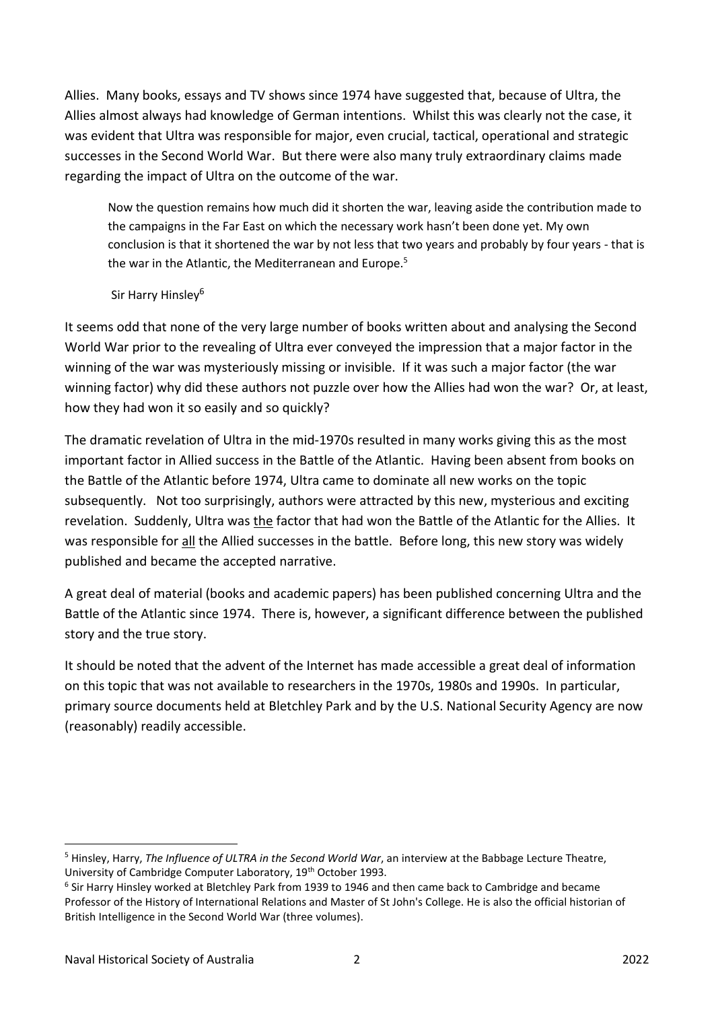Allies. Many books, essays and TV shows since 1974 have suggested that, because of Ultra, the Allies almost always had knowledge of German intentions. Whilst this was clearly not the case, it was evident that Ultra was responsible for major, even crucial, tactical, operational and strategic successes in the Second World War. But there were also many truly extraordinary claims made regarding the impact of Ultra on the outcome of the war.

Now the question remains how much did it shorten the war, leaving aside the contribution made to the campaigns in the Far East on which the necessary work hasn't been done yet. My own conclusion is that it shortened the war by not less that two years and probably by four years - that is the war in the Atlantic, the Mediterranean and Europe.<sup>5</sup>

# Sir Harry Hinsley<sup>6</sup>

It seems odd that none of the very large number of books written about and analysing the Second World War prior to the revealing of Ultra ever conveyed the impression that a major factor in the winning of the war was mysteriously missing or invisible. If it was such a major factor (the war winning factor) why did these authors not puzzle over how the Allies had won the war? Or, at least, how they had won it so easily and so quickly?

The dramatic revelation of Ultra in the mid-1970s resulted in many works giving this as the most important factor in Allied success in the Battle of the Atlantic. Having been absent from books on the Battle of the Atlantic before 1974, Ultra came to dominate all new works on the topic subsequently. Not too surprisingly, authors were attracted by this new, mysterious and exciting revelation. Suddenly, Ultra was the factor that had won the Battle of the Atlantic for the Allies. It was responsible for all the Allied successes in the battle. Before long, this new story was widely published and became the accepted narrative.

A great deal of material (books and academic papers) has been published concerning Ultra and the Battle of the Atlantic since 1974. There is, however, a significant difference between the published story and the true story.

It should be noted that the advent of the Internet has made accessible a great deal of information on this topic that was not available to researchers in the 1970s, 1980s and 1990s. In particular, primary source documents held at Bletchley Park and by the U.S. National Security Agency are now (reasonably) readily accessible.

<sup>5</sup> Hinsley, Harry, *The Influence of ULTRA in the Second World War*, an interview at the Babbage Lecture Theatre, University of Cambridge Computer Laboratory, 19<sup>th</sup> October 1993.

<sup>6</sup> Sir Harry Hinsley worked at Bletchley Park from 1939 to 1946 and then came back to Cambridge and became Professor of the History of International Relations and Master of St John's College. He is also the official historian of British Intelligence in the Second World War (three volumes).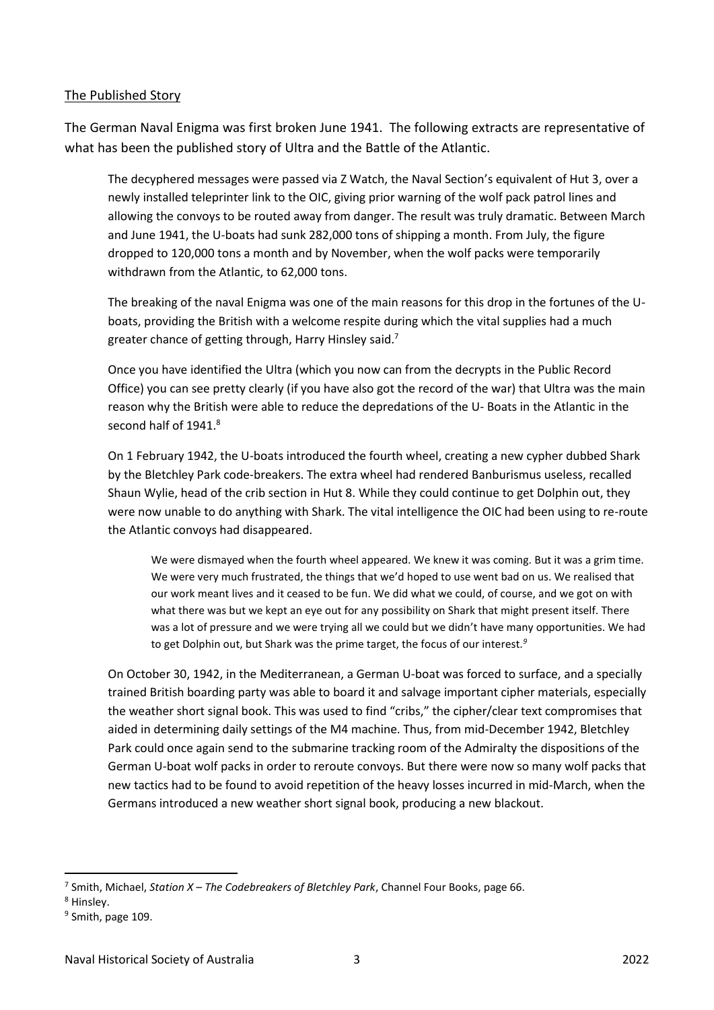#### The Published Story

The German Naval Enigma was first broken June 1941. The following extracts are representative of what has been the published story of Ultra and the Battle of the Atlantic.

The decyphered messages were passed via Z Watch, the Naval Section's equivalent of Hut 3, over a newly installed teleprinter link to the OIC, giving prior warning of the wolf pack patrol lines and allowing the convoys to be routed away from danger. The result was truly dramatic. Between March and June 1941, the U-boats had sunk 282,000 tons of shipping a month. From July, the figure dropped to 120,000 tons a month and by November, when the wolf packs were temporarily withdrawn from the Atlantic, to 62,000 tons.

The breaking of the naval Enigma was one of the main reasons for this drop in the fortunes of the Uboats, providing the British with a welcome respite during which the vital supplies had a much greater chance of getting through, Harry Hinsley said.<sup>7</sup>

Once you have identified the Ultra (which you now can from the decrypts in the Public Record Office) you can see pretty clearly (if you have also got the record of the war) that Ultra was the main reason why the British were able to reduce the depredations of the U- Boats in the Atlantic in the second half of 1941.<sup>8</sup>

On 1 February 1942, the U-boats introduced the fourth wheel, creating a new cypher dubbed Shark by the Bletchley Park code-breakers. The extra wheel had rendered Banburismus useless, recalled Shaun Wylie, head of the crib section in Hut 8. While they could continue to get Dolphin out, they were now unable to do anything with Shark. The vital intelligence the OIC had been using to re-route the Atlantic convoys had disappeared.

We were dismayed when the fourth wheel appeared. We knew it was coming. But it was a grim time. We were very much frustrated, the things that we'd hoped to use went bad on us. We realised that our work meant lives and it ceased to be fun. We did what we could, of course, and we got on with what there was but we kept an eye out for any possibility on Shark that might present itself. There was a lot of pressure and we were trying all we could but we didn't have many opportunities. We had to get Dolphin out, but Shark was the prime target, the focus of our interest.*<sup>9</sup>*

On October 30, 1942, in the Mediterranean, a German U-boat was forced to surface, and a specially trained British boarding party was able to board it and salvage important cipher materials, especially the weather short signal book. This was used to find "cribs," the cipher/clear text compromises that aided in determining daily settings of the M4 machine. Thus, from mid-December 1942, Bletchley Park could once again send to the submarine tracking room of the Admiralty the dispositions of the German U-boat wolf packs in order to reroute convoys. But there were now so many wolf packs that new tactics had to be found to avoid repetition of the heavy losses incurred in mid-March, when the Germans introduced a new weather short signal book, producing a new blackout.

<sup>7</sup> Smith, Michael, *Station X – The Codebreakers of Bletchley Park*, Channel Four Books, page 66.

<sup>8</sup> Hinsley.

<sup>&</sup>lt;sup>9</sup> Smith, page 109.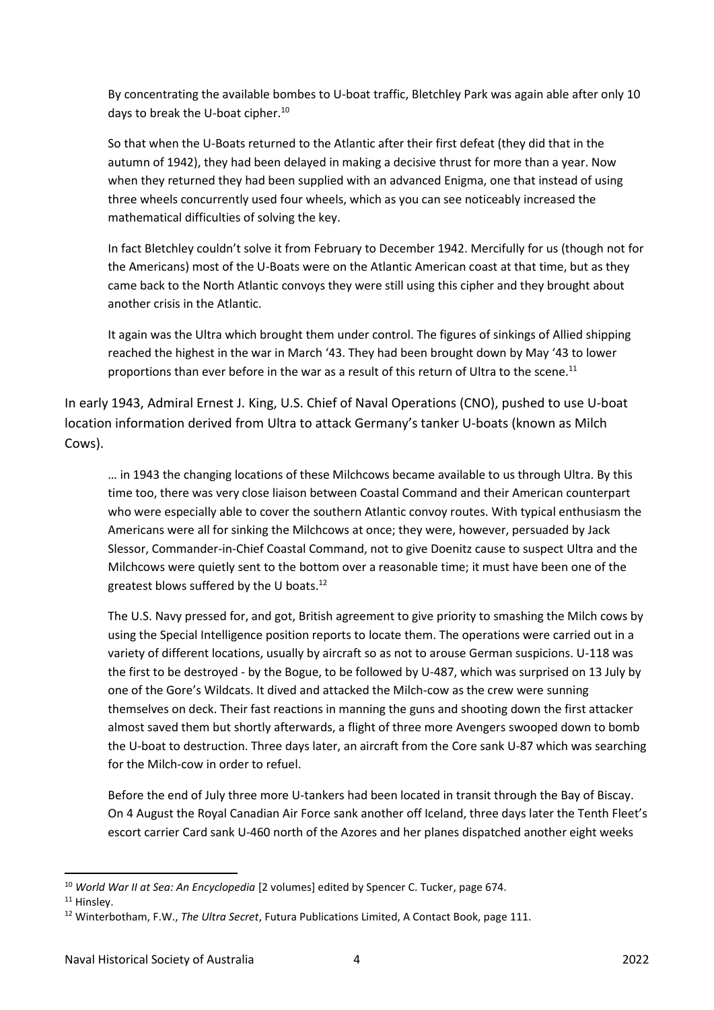By concentrating the available bombes to U-boat traffic, Bletchley Park was again able after only 10 days to break the U-boat cipher.<sup>10</sup>

So that when the U-Boats returned to the Atlantic after their first defeat (they did that in the autumn of 1942), they had been delayed in making a decisive thrust for more than a year. Now when they returned they had been supplied with an advanced Enigma, one that instead of using three wheels concurrently used four wheels, which as you can see noticeably increased the mathematical difficulties of solving the key.

In fact Bletchley couldn't solve it from February to December 1942. Mercifully for us (though not for the Americans) most of the U-Boats were on the Atlantic American coast at that time, but as they came back to the North Atlantic convoys they were still using this cipher and they brought about another crisis in the Atlantic.

It again was the Ultra which brought them under control. The figures of sinkings of Allied shipping reached the highest in the war in March '43. They had been brought down by May '43 to lower proportions than ever before in the war as a result of this return of Ultra to the scene.<sup>11</sup>

In early 1943, Admiral Ernest J. King, U.S. Chief of Naval Operations (CNO), pushed to use U-boat location information derived from Ultra to attack Germany's tanker U-boats (known as Milch Cows).

… in 1943 the changing locations of these Milchcows became available to us through Ultra. By this time too, there was very close liaison between Coastal Command and their American counterpart who were especially able to cover the southern Atlantic convoy routes. With typical enthusiasm the Americans were all for sinking the Milchcows at once; they were, however, persuaded by Jack Slessor, Commander-in-Chief Coastal Command, not to give Doenitz cause to suspect Ultra and the Milchcows were quietly sent to the bottom over a reasonable time; it must have been one of the greatest blows suffered by the U boats. $^{12}$ 

The U.S. Navy pressed for, and got, British agreement to give priority to smashing the Milch cows by using the Special Intelligence position reports to locate them. The operations were carried out in a variety of different locations, usually by aircraft so as not to arouse German suspicions. U-118 was the first to be destroyed - by the Bogue, to be followed by U-487, which was surprised on 13 July by one of the Gore's Wildcats. It dived and attacked the Milch-cow as the crew were sunning themselves on deck. Their fast reactions in manning the guns and shooting down the first attacker almost saved them but shortly afterwards, a flight of three more Avengers swooped down to bomb the U-boat to destruction. Three days later, an aircraft from the Core sank U-87 which was searching for the Milch-cow in order to refuel.

Before the end of July three more U-tankers had been located in transit through the Bay of Biscay. On 4 August the Royal Canadian Air Force sank another off Iceland, three days later the Tenth Fleet's escort carrier Card sank U-460 north of the Azores and her planes dispatched another eight weeks

<sup>10</sup> *World War II at Sea: An Encyclopedia* [2 volumes] edited by Spencer C. Tucker, page 674.

<sup>&</sup>lt;sup>11</sup> Hinsley.

<sup>12</sup> Winterbotham, F.W., *The Ultra Secret*, Futura Publications Limited, A Contact Book, page 111.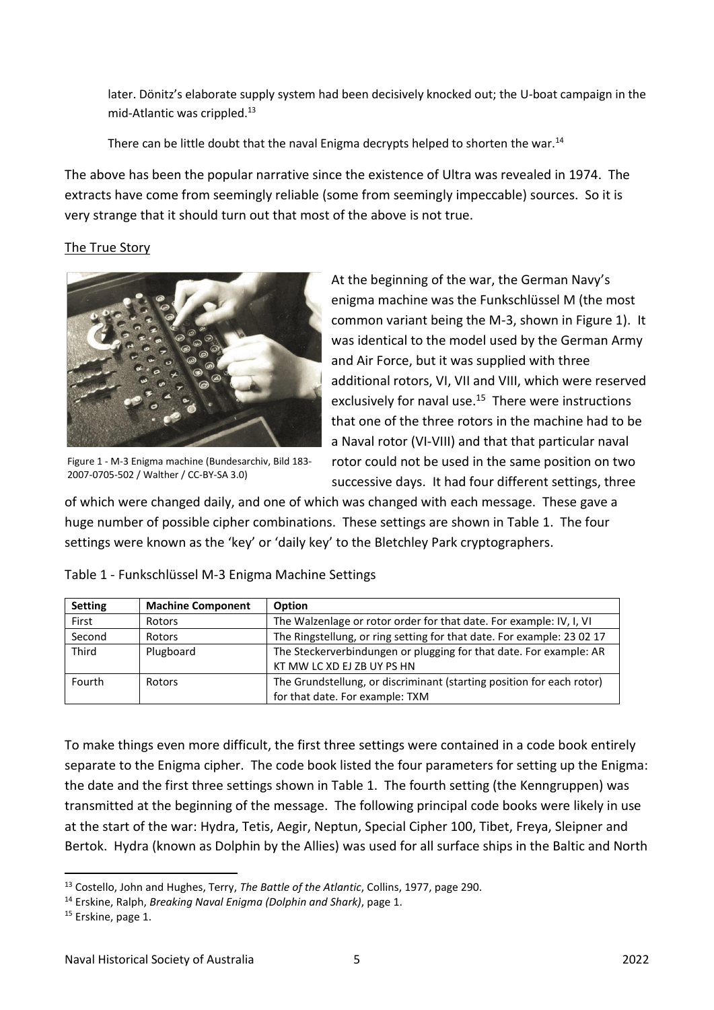later. Dönitz's elaborate supply system had been decisively knocked out; the U-boat campaign in the mid-Atlantic was crippled.<sup>13</sup>

There can be little doubt that the naval Enigma decrypts helped to shorten the war.<sup>14</sup>

The above has been the popular narrative since the existence of Ultra was revealed in 1974. The extracts have come from seemingly reliable (some from seemingly impeccable) sources. So it is very strange that it should turn out that most of the above is not true.

# The True Story



Figure 1 - M-3 Enigma machine (Bundesarchiv, Bild 183- 2007-0705-502 / Walther / CC-BY-SA 3.0)

At the beginning of the war, the German Navy's enigma machine was the Funkschlüssel M (the most common variant being the M-3, shown in Figure 1). It was identical to the model used by the German Army and Air Force, but it was supplied with three additional rotors, VI, VII and VIII, which were reserved exclusively for naval use.<sup>15</sup> There were instructions that one of the three rotors in the machine had to be a Naval rotor (VI-VIII) and that that particular naval rotor could not be used in the same position on two successive days. It had four different settings, three

of which were changed daily, and one of which was changed with each message. These gave a huge number of possible cipher combinations. These settings are shown in Table 1. The four settings were known as the 'key' or 'daily key' to the Bletchley Park cryptographers.

| <b>Setting</b> | <b>Machine Component</b> | Option                                                                 |  |
|----------------|--------------------------|------------------------------------------------------------------------|--|
| First          | Rotors                   | The Walzenlage or rotor order for that date. For example: IV, I, VI    |  |
| Second         | Rotors                   | The Ringstellung, or ring setting for that date. For example: 23 02 17 |  |
| Third          | Plugboard                | The Steckerverbindungen or plugging for that date. For example: AR     |  |
|                |                          | KT MW LC XD EJ ZB UY PS HN                                             |  |
| Fourth         | Rotors                   | The Grundstellung, or discriminant (starting position for each rotor)  |  |
|                |                          | for that date. For example: TXM                                        |  |

Table 1 - Funkschlüssel M-3 Enigma Machine Settings

To make things even more difficult, the first three settings were contained in a code book entirely separate to the Enigma cipher. The code book listed the four parameters for setting up the Enigma: the date and the first three settings shown in Table 1. The fourth setting (the Kenngruppen) was transmitted at the beginning of the message. The following principal code books were likely in use at the start of the war: Hydra, Tetis, Aegir, Neptun, Special Cipher 100, Tibet, Freya, Sleipner and Bertok. Hydra (known as Dolphin by the Allies) was used for all surface ships in the Baltic and North

<sup>13</sup> Costello, John and Hughes, Terry, *The Battle of the Atlantic*, Collins, 1977, page 290.

<sup>14</sup> Erskine, Ralph, *Breaking Naval Enigma (Dolphin and Shark)*, page 1.

<sup>&</sup>lt;sup>15</sup> Erskine, page 1.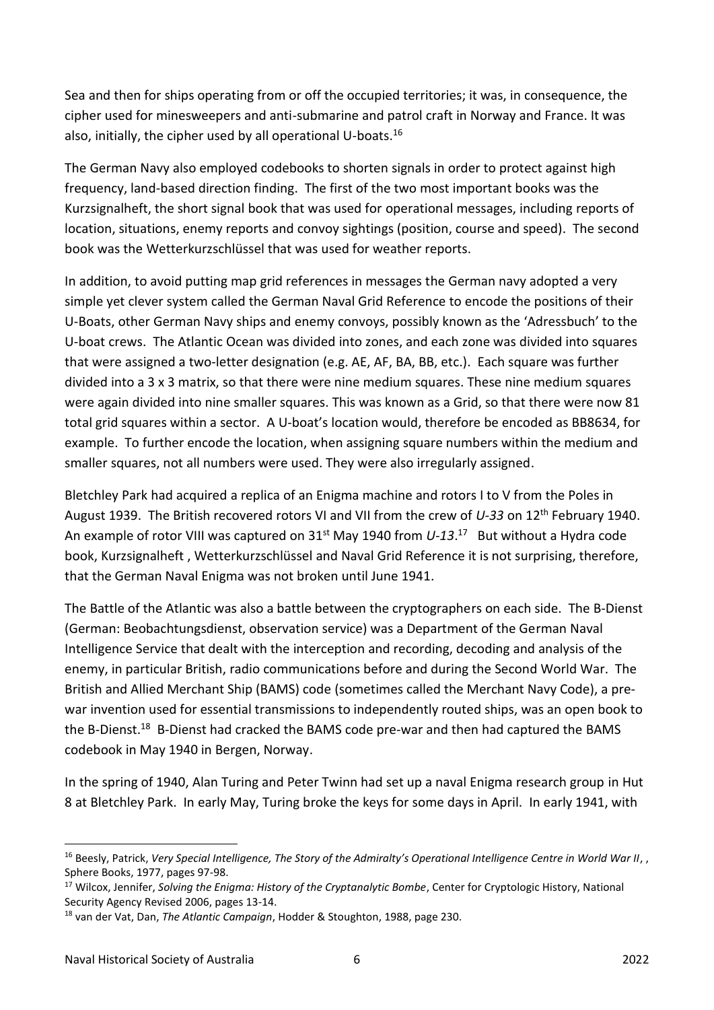Sea and then for ships operating from or off the occupied territories; it was, in consequence, the cipher used for minesweepers and anti-submarine and patrol craft in Norway and France. It was also, initially, the cipher used by all operational U-boats. $16$ 

The German Navy also employed codebooks to shorten signals in order to protect against high frequency, land-based direction finding. The first of the two most important books was the Kurzsignalheft, the short signal book that was used for operational messages, including reports of location, situations, enemy reports and convoy sightings (position, course and speed). The second book was the Wetterkurzschlüssel that was used for weather reports.

In addition, to avoid putting map grid references in messages the German navy adopted a very simple yet clever system called the German Naval Grid Reference to encode the positions of their U-Boats, other German Navy ships and enemy convoys, possibly known as the 'Adressbuch' to the U-boat crews. The Atlantic Ocean was divided into zones, and each zone was divided into squares that were assigned a two-letter designation (e.g. AE, AF, BA, BB, etc.). Each square was further divided into a 3 x 3 matrix, so that there were nine medium squares. These nine medium squares were again divided into nine smaller squares. This was known as a Grid, so that there were now 81 total grid squares within a sector. A U-boat's location would, therefore be encoded as BB8634, for example. To further encode the location, when assigning square numbers within the medium and smaller squares, not all numbers were used. They were also irregularly assigned.

Bletchley Park had acquired a replica of an Enigma machine and rotors I to V from the Poles in August 1939. The British recovered rotors VI and VII from the crew of *U-33* on 12th February 1940. An example of rotor VIII was captured on 31<sup>st</sup> May 1940 from *U-13*.<sup>17</sup> But without a Hydra code book, Kurzsignalheft , Wetterkurzschlüssel and Naval Grid Reference it is not surprising, therefore, that the German Naval Enigma was not broken until June 1941.

The Battle of the Atlantic was also a battle between the cryptographers on each side. The B-Dienst (German: Beobachtungsdienst, observation service) was a Department of the German Naval Intelligence Service that dealt with the interception and recording, decoding and analysis of the enemy, in particular British, radio communications before and during the Second World War. The British and Allied Merchant Ship (BAMS) code (sometimes called the Merchant Navy Code), a prewar invention used for essential transmissions to independently routed ships, was an open book to the B-Dienst.<sup>18</sup> B-Dienst had cracked the BAMS code pre-war and then had captured the BAMS codebook in May 1940 in Bergen, Norway.

In the spring of 1940, Alan Turing and Peter Twinn had set up a naval Enigma research group in Hut 8 at Bletchley Park. In early May, Turing broke the keys for some days in April. In early 1941, with

<sup>&</sup>lt;sup>16</sup> Beesly, Patrick, *Very Special Intelligence, The Story of the Admiralty's Operational Intelligence Centre in World War II,,* Sphere Books, 1977, pages 97-98.

<sup>17</sup> Wilcox, Jennifer, *Solving the Enigma: History of the Cryptanalytic Bombe*, Center for Cryptologic History, National Security Agency Revised 2006, pages 13-14.

<sup>18</sup> van der Vat, Dan, *The Atlantic Campaign*, Hodder & Stoughton, 1988, page 230.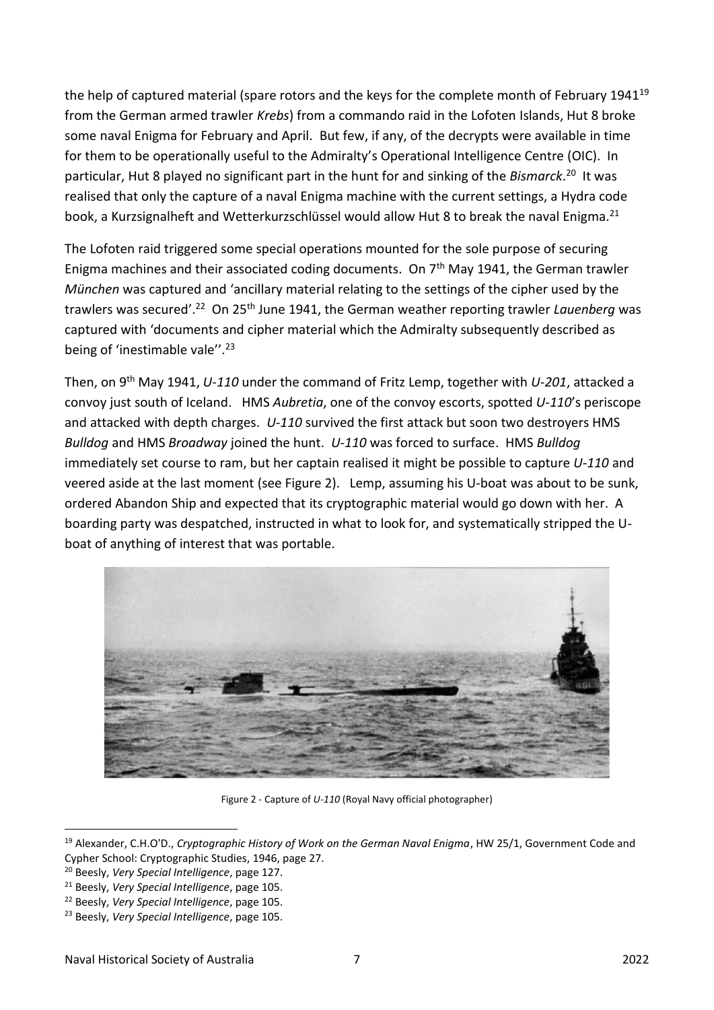the help of captured material (spare rotors and the keys for the complete month of February 1941<sup>19</sup> from the German armed trawler *Krebs*) from a commando raid in the Lofoten Islands, Hut 8 broke some naval Enigma for February and April. But few, if any, of the decrypts were available in time for them to be operationally useful to the Admiralty's Operational Intelligence Centre (OIC). In particular, Hut 8 played no significant part in the hunt for and sinking of the Bismarck.<sup>20</sup> It was realised that only the capture of a naval Enigma machine with the current settings, a Hydra code book, a Kurzsignalheft and Wetterkurzschlüssel would allow Hut 8 to break the naval Enigma.<sup>21</sup>

The Lofoten raid triggered some special operations mounted for the sole purpose of securing Enigma machines and their associated coding documents. On  $7<sup>th</sup>$  May 1941, the German trawler *München* was captured and 'ancillary material relating to the settings of the cipher used by the trawlers was secured'.<sup>22</sup> On 25<sup>th</sup> June 1941, the German weather reporting trawler Lauenberg was captured with 'documents and cipher material which the Admiralty subsequently described as being of 'inestimable vale''. 23

Then, on 9th May 1941, *U-110* under the command of Fritz Lemp, together with *U-201*, attacked a convoy just south of Iceland. HMS *Aubretia*, one of the convoy escorts, spotted *U-110*'s periscope and attacked with depth charges. *U-110* survived the first attack but soon two destroyers HMS *Bulldog* and HMS *Broadway* joined the hunt. *U-110* was forced to surface. HMS *Bulldog* immediately set course to ram, but her captain realised it might be possible to capture *U-110* and veered aside at the last moment (see Figure 2). Lemp, assuming his U-boat was about to be sunk, ordered Abandon Ship and expected that its cryptographic material would go down with her. A boarding party was despatched, instructed in what to look for, and systematically stripped the Uboat of anything of interest that was portable.



Figure 2 - Capture of *U-110* (Royal Navy official photographer)

<sup>19</sup> Alexander, C.H.O'D., *Cryptographic History of Work on the German Naval Enigma*, HW 25/1, Government Code and Cypher School: Cryptographic Studies, 1946, page 27.

<sup>20</sup> Beesly, *Very Special Intelligence*, page 127.

<sup>21</sup> Beesly, *Very Special Intelligence*, page 105.

<sup>22</sup> Beesly, *Very Special Intelligence*, page 105.

<sup>23</sup> Beesly, *Very Special Intelligence*, page 105.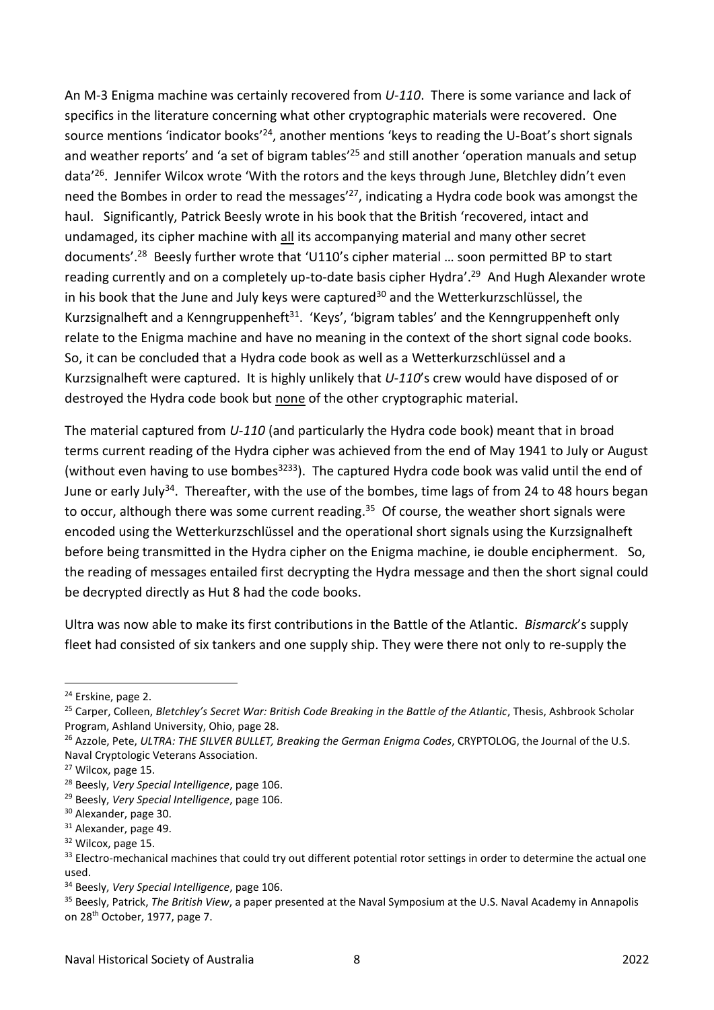An M-3 Enigma machine was certainly recovered from *U-110*. There is some variance and lack of specifics in the literature concerning what other cryptographic materials were recovered. One source mentions 'indicator books'<sup>24</sup>, another mentions 'keys to reading the U-Boat's short signals and weather reports' and 'a set of bigram tables'<sup>25</sup> and still another 'operation manuals and setup data<sup>'26</sup>. Jennifer Wilcox wrote 'With the rotors and the keys through June, Bletchley didn't even need the Bombes in order to read the messages<sup>'27</sup>, indicating a Hydra code book was amongst the haul. Significantly, Patrick Beesly wrote in his book that the British 'recovered, intact and undamaged, its cipher machine with all its accompanying material and many other secret documents'.<sup>28</sup> Beesly further wrote that 'U110's cipher material ... soon permitted BP to start reading currently and on a completely up-to-date basis cipher Hydra'.<sup>29</sup> And Hugh Alexander wrote in his book that the June and July keys were captured<sup>30</sup> and the Wetterkurzschlüssel, the Kurzsignalheft and a Kenngruppenheft<sup>31</sup>. 'Keys', 'bigram tables' and the Kenngruppenheft only relate to the Enigma machine and have no meaning in the context of the short signal code books. So, it can be concluded that a Hydra code book as well as a Wetterkurzschlüssel and a Kurzsignalheft were captured. It is highly unlikely that *U-110*'s crew would have disposed of or destroyed the Hydra code book but none of the other cryptographic material.

The material captured from *U-110* (and particularly the Hydra code book) meant that in broad terms current reading of the Hydra cipher was achieved from the end of May 1941 to July or August (without even having to use bombes $3233$ ). The captured Hydra code book was valid until the end of June or early July<sup>34</sup>. Thereafter, with the use of the bombes, time lags of from 24 to 48 hours began to occur, although there was some current reading.<sup>35</sup> Of course, the weather short signals were encoded using the Wetterkurzschlüssel and the operational short signals using the Kurzsignalheft before being transmitted in the Hydra cipher on the Enigma machine, ie double encipherment. So, the reading of messages entailed first decrypting the Hydra message and then the short signal could be decrypted directly as Hut 8 had the code books.

Ultra was now able to make its first contributions in the Battle of the Atlantic. *Bismarck*'s supply fleet had consisted of six tankers and one supply ship. They were there not only to re-supply the

<sup>26</sup> Azzole, Pete, *ULTRA: THE SILVER BULLET, Breaking the German Enigma Codes*, CRYPTOLOG, the Journal of the U.S. Naval Cryptologic Veterans Association.

<sup>&</sup>lt;sup>24</sup> Erskine, page 2.

<sup>&</sup>lt;sup>25</sup> Carper, Colleen, *Bletchley's Secret War: British Code Breaking in the Battle of the Atlantic*, Thesis, Ashbrook Scholar Program, Ashland University, Ohio, page 28.

<sup>&</sup>lt;sup>27</sup> Wilcox, page 15.

<sup>28</sup> Beesly, *Very Special Intelligence*, page 106.

<sup>29</sup> Beesly, *Very Special Intelligence*, page 106.

<sup>&</sup>lt;sup>30</sup> Alexander, page 30.

<sup>&</sup>lt;sup>31</sup> Alexander, page 49.

<sup>&</sup>lt;sup>32</sup> Wilcox, page 15.

<sup>&</sup>lt;sup>33</sup> Electro-mechanical machines that could try out different potential rotor settings in order to determine the actual one used.

<sup>34</sup> Beesly, *Very Special Intelligence*, page 106.

<sup>35</sup> Beesly, Patrick, *The British View*, a paper presented at the Naval Symposium at the U.S. Naval Academy in Annapolis on 28th October, 1977, page 7.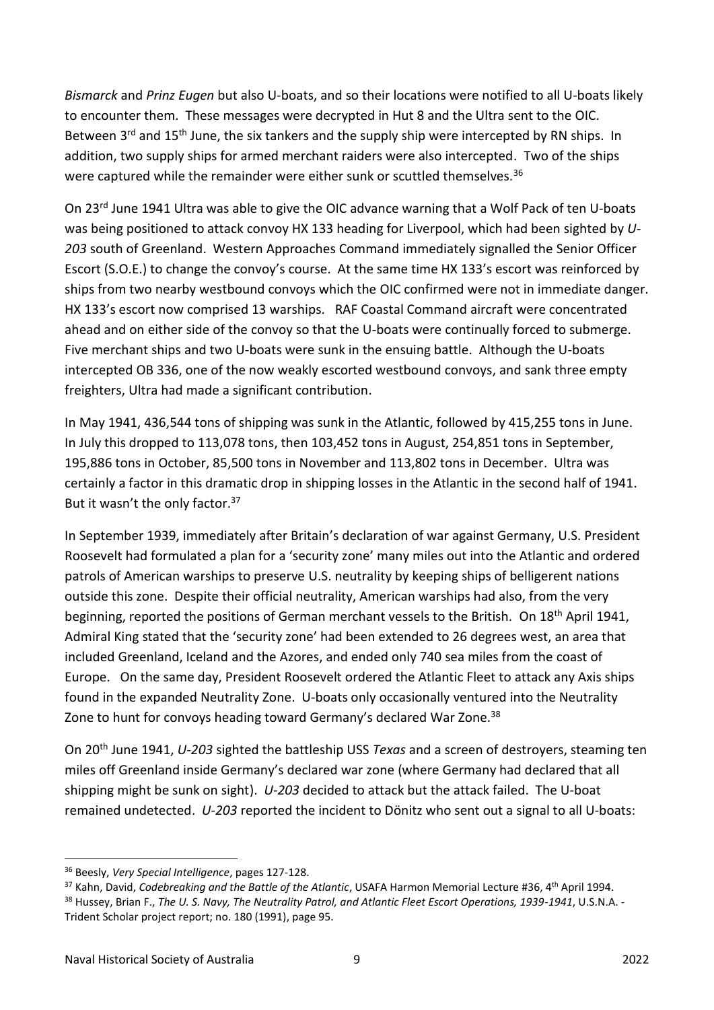*Bismarck* and *Prinz Eugen* but also U-boats, and so their locations were notified to all U-boats likely to encounter them. These messages were decrypted in Hut 8 and the Ultra sent to the OIC. Between 3<sup>rd</sup> and 15<sup>th</sup> June, the six tankers and the supply ship were intercepted by RN ships. In addition, two supply ships for armed merchant raiders were also intercepted. Two of the ships were captured while the remainder were either sunk or scuttled themselves.<sup>36</sup>

On 23rd June 1941 Ultra was able to give the OIC advance warning that a Wolf Pack of ten U-boats was being positioned to attack convoy HX 133 heading for Liverpool, which had been sighted by *U-203* south of Greenland. Western Approaches Command immediately signalled the Senior Officer Escort (S.O.E.) to change the convoy's course. At the same time HX 133's escort was reinforced by ships from two nearby westbound convoys which the OIC confirmed were not in immediate danger. HX 133's escort now comprised 13 warships. RAF Coastal Command aircraft were concentrated ahead and on either side of the convoy so that the U-boats were continually forced to submerge. Five merchant ships and two U-boats were sunk in the ensuing battle. Although the U-boats intercepted OB 336, one of the now weakly escorted westbound convoys, and sank three empty freighters, Ultra had made a significant contribution.

In May 1941, 436,544 tons of shipping was sunk in the Atlantic, followed by 415,255 tons in June. In July this dropped to 113,078 tons, then 103,452 tons in August, 254,851 tons in September, 195,886 tons in October, 85,500 tons in November and 113,802 tons in December. Ultra was certainly a factor in this dramatic drop in shipping losses in the Atlantic in the second half of 1941. But it wasn't the only factor.<sup>37</sup>

In September 1939, immediately after Britain's declaration of war against Germany, U.S. President Roosevelt had formulated a plan for a 'security zone' many miles out into the Atlantic and ordered patrols of American warships to preserve U.S. neutrality by keeping ships of belligerent nations outside this zone. Despite their official neutrality, American warships had also, from the very beginning, reported the positions of German merchant vessels to the British. On 18<sup>th</sup> April 1941, Admiral King stated that the 'security zone' had been extended to 26 degrees west, an area that included Greenland, Iceland and the Azores, and ended only 740 sea miles from the coast of Europe. On the same day, President Roosevelt ordered the Atlantic Fleet to attack any Axis ships found in the expanded Neutrality Zone. U-boats only occasionally ventured into the Neutrality Zone to hunt for convoys heading toward Germany's declared War Zone.<sup>38</sup>

On 20th June 1941, *U-203* sighted the battleship USS *Texas* and a screen of destroyers, steaming ten miles off Greenland inside Germany's declared war zone (where Germany had declared that all shipping might be sunk on sight). *U-203* decided to attack but the attack failed. The U-boat remained undetected. *U-203* reported the incident to Dönitz who sent out a signal to all U-boats:

<sup>36</sup> Beesly, *Very Special Intelligence*, pages 127-128.

<sup>&</sup>lt;sup>37</sup> Kahn, David, *Codebreaking and the Battle of the Atlantic*, USAFA Harmon Memorial Lecture #36, 4<sup>th</sup> April 1994. <sup>38</sup> Hussey, Brian F., *The U. S. Navy, The Neutrality Patrol, and Atlantic Fleet Escort Operations, 1939-1941*, U.S.N.A. -

Trident Scholar project report; no. 180 (1991), page 95.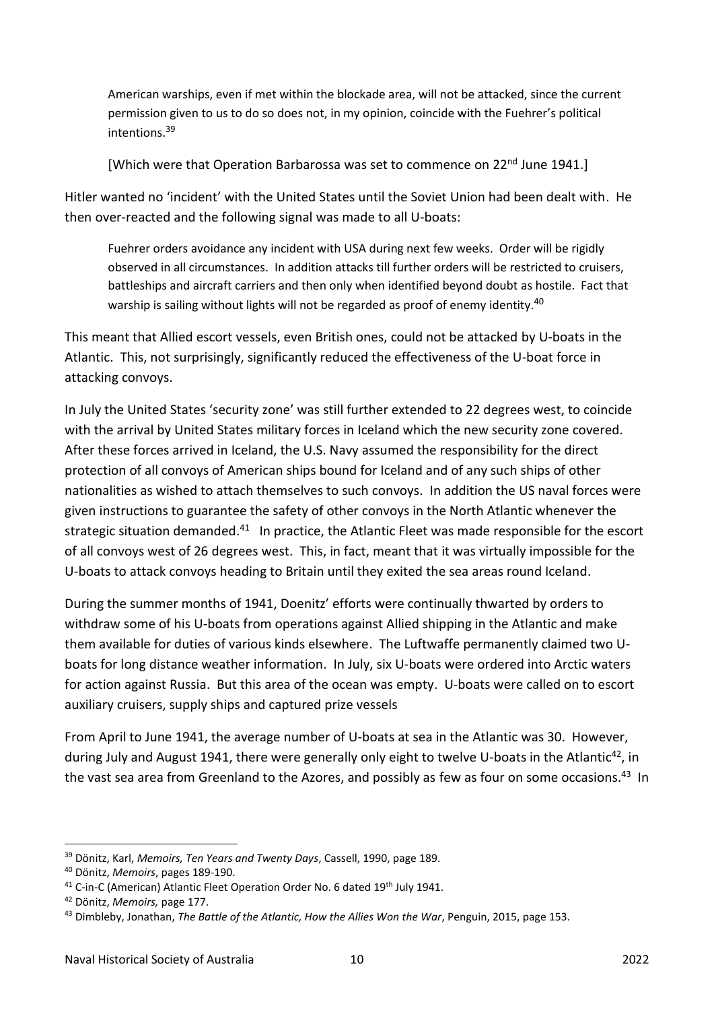American warships, even if met within the blockade area, will not be attacked, since the current permission given to us to do so does not, in my opinion, coincide with the Fuehrer's political intentions 39

[Which were that Operation Barbarossa was set to commence on 22<sup>nd</sup> June 1941.]

Hitler wanted no 'incident' with the United States until the Soviet Union had been dealt with. He then over-reacted and the following signal was made to all U-boats:

Fuehrer orders avoidance any incident with USA during next few weeks. Order will be rigidly observed in all circumstances. In addition attacks till further orders will be restricted to cruisers, battleships and aircraft carriers and then only when identified beyond doubt as hostile. Fact that warship is sailing without lights will not be regarded as proof of enemy identity.<sup>40</sup>

This meant that Allied escort vessels, even British ones, could not be attacked by U-boats in the Atlantic. This, not surprisingly, significantly reduced the effectiveness of the U-boat force in attacking convoys.

In July the United States 'security zone' was still further extended to 22 degrees west, to coincide with the arrival by United States military forces in Iceland which the new security zone covered. After these forces arrived in Iceland, the U.S. Navy assumed the responsibility for the direct protection of all convoys of American ships bound for Iceland and of any such ships of other nationalities as wished to attach themselves to such convoys. In addition the US naval forces were given instructions to guarantee the safety of other convoys in the North Atlantic whenever the strategic situation demanded.<sup>41</sup> In practice, the Atlantic Fleet was made responsible for the escort of all convoys west of 26 degrees west. This, in fact, meant that it was virtually impossible for the U-boats to attack convoys heading to Britain until they exited the sea areas round Iceland.

During the summer months of 1941, Doenitz' efforts were continually thwarted by orders to withdraw some of his U-boats from operations against Allied shipping in the Atlantic and make them available for duties of various kinds elsewhere. The Luftwaffe permanently claimed two Uboats for long distance weather information. In July, six U-boats were ordered into Arctic waters for action against Russia. But this area of the ocean was empty. U-boats were called on to escort auxiliary cruisers, supply ships and captured prize vessels

From April to June 1941, the average number of U-boats at sea in the Atlantic was 30. However, during July and August 1941, there were generally only eight to twelve U-boats in the Atlantic<sup>42</sup>, in the vast sea area from Greenland to the Azores, and possibly as few as four on some occasions.<sup>43</sup> In

<sup>39</sup> Dönitz, Karl, *Memoirs, Ten Years and Twenty Days*, Cassell, 1990, page 189.

<sup>40</sup> Dönitz, *Memoirs*, pages 189-190.

<sup>&</sup>lt;sup>41</sup> C-in-C (American) Atlantic Fleet Operation Order No. 6 dated 19<sup>th</sup> July 1941.

<sup>42</sup> Dönitz, *Memoirs,* page 177.

<sup>43</sup> Dimbleby, Jonathan, *The Battle of the Atlantic, How the Allies Won the War*, Penguin, 2015, page 153.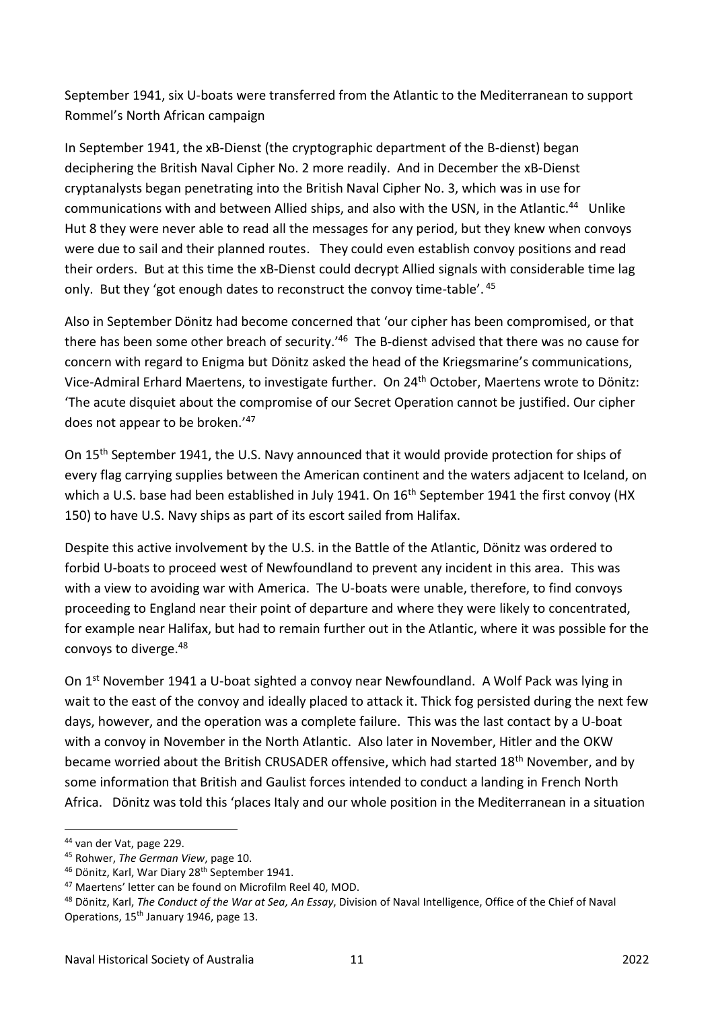September 1941, six U-boats were transferred from the Atlantic to the Mediterranean to support Rommel's North African campaign

In September 1941, the xB-Dienst (the cryptographic department of the B-dienst) began deciphering the British Naval Cipher No. 2 more readily. And in December the xB-Dienst cryptanalysts began penetrating into the British Naval Cipher No. 3, which was in use for communications with and between Allied ships, and also with the USN, in the Atlantic.<sup>44</sup> Unlike Hut 8 they were never able to read all the messages for any period, but they knew when convoys were due to sail and their planned routes. They could even establish convoy positions and read their orders. But at this time the xB-Dienst could decrypt Allied signals with considerable time lag only. But they 'got enough dates to reconstruct the convoy time-table'. 45

Also in September Dönitz had become concerned that 'our cipher has been compromised, or that there has been some other breach of security.'<sup>46</sup> The B-dienst advised that there was no cause for concern with regard to Enigma but Dönitz asked the head of the Kriegsmarine's communications, Vice-Admiral Erhard Maertens, to investigate further. On 24th October, Maertens wrote to Dönitz: 'The acute disquiet about the compromise of our Secret Operation cannot be justified. Our cipher does not appear to be broken.'<sup>47</sup>

On 15th September 1941, the U.S. Navy announced that it would provide protection for ships of every flag carrying supplies between the American continent and the waters adjacent to Iceland, on which a U.S. base had been established in July 1941. On  $16<sup>th</sup>$  September 1941 the first convoy (HX 150) to have U.S. Navy ships as part of its escort sailed from Halifax.

Despite this active involvement by the U.S. in the Battle of the Atlantic, Dönitz was ordered to forbid U-boats to proceed west of Newfoundland to prevent any incident in this area. This was with a view to avoiding war with America. The U-boats were unable, therefore, to find convoys proceeding to England near their point of departure and where they were likely to concentrated, for example near Halifax, but had to remain further out in the Atlantic, where it was possible for the convoys to diverge. 48

On 1<sup>st</sup> November 1941 a U-boat sighted a convoy near Newfoundland. A Wolf Pack was lying in wait to the east of the convoy and ideally placed to attack it. Thick fog persisted during the next few days, however, and the operation was a complete failure. This was the last contact by a U-boat with a convoy in November in the North Atlantic. Also later in November, Hitler and the OKW became worried about the British CRUSADER offensive, which had started 18<sup>th</sup> November, and by some information that British and Gaulist forces intended to conduct a landing in French North Africa. Dönitz was told this 'places Italy and our whole position in the Mediterranean in a situation

<sup>44</sup> van der Vat, page 229.

<sup>45</sup> Rohwer, *The German View*, page 10.

<sup>&</sup>lt;sup>46</sup> Dönitz, Karl, War Diary 28<sup>th</sup> September 1941.

<sup>47</sup> Maertens' letter can be found on Microfilm Reel 40, MOD.

<sup>48</sup> Dönitz, Karl, *The Conduct of the War at Sea, An Essay*, Division of Naval Intelligence, Office of the Chief of Naval Operations, 15th January 1946, page 13.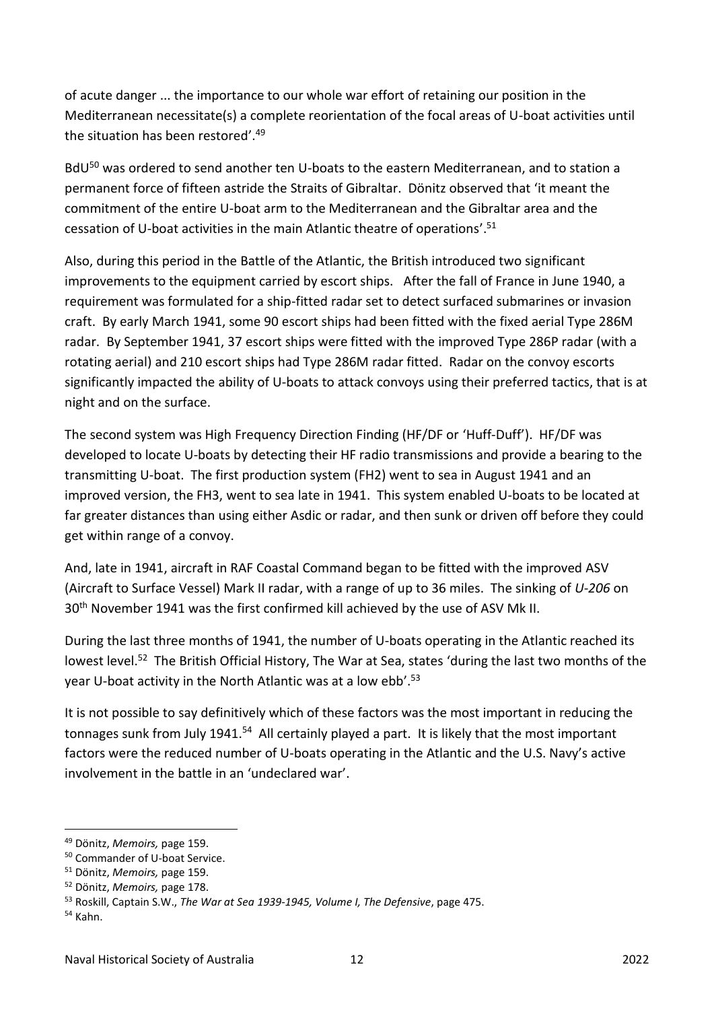of acute danger ... the importance to our whole war effort of retaining our position in the Mediterranean necessitate(s) a complete reorientation of the focal areas of U-boat activities until the situation has been restored'. 49

BdU<sup>50</sup> was ordered to send another ten U-boats to the eastern Mediterranean, and to station a permanent force of fifteen astride the Straits of Gibraltar. Dönitz observed that 'it meant the commitment of the entire U-boat arm to the Mediterranean and the Gibraltar area and the cessation of U-boat activities in the main Atlantic theatre of operations'. 51

Also, during this period in the Battle of the Atlantic, the British introduced two significant improvements to the equipment carried by escort ships. After the fall of France in June 1940, a requirement was formulated for a ship-fitted radar set to detect surfaced submarines or invasion craft. By early March 1941, some 90 escort ships had been fitted with the fixed aerial Type 286M radar. By September 1941, 37 escort ships were fitted with the improved Type 286P radar (with a rotating aerial) and 210 escort ships had Type 286M radar fitted. Radar on the convoy escorts significantly impacted the ability of U-boats to attack convoys using their preferred tactics, that is at night and on the surface.

The second system was High Frequency Direction Finding (HF/DF or 'Huff-Duff'). HF/DF was developed to locate U-boats by detecting their HF radio transmissions and provide a bearing to the transmitting U-boat. The first production system (FH2) went to sea in August 1941 and an improved version, the FH3, went to sea late in 1941. This system enabled U-boats to be located at far greater distances than using either Asdic or radar, and then sunk or driven off before they could get within range of a convoy.

And, late in 1941, aircraft in RAF Coastal Command began to be fitted with the improved ASV (Aircraft to Surface Vessel) Mark II radar, with a range of up to 36 miles. The sinking of *U-206* on 30<sup>th</sup> November 1941 was the first confirmed kill achieved by the use of ASV Mk II.

During the last three months of 1941, the number of U-boats operating in the Atlantic reached its lowest level.<sup>52</sup> The British Official History, The War at Sea, states 'during the last two months of the year U-boat activity in the North Atlantic was at a low ebb'.<sup>53</sup>

It is not possible to say definitively which of these factors was the most important in reducing the tonnages sunk from July 1941.<sup>54</sup> All certainly played a part. It is likely that the most important factors were the reduced number of U-boats operating in the Atlantic and the U.S. Navy's active involvement in the battle in an 'undeclared war'.

<sup>49</sup> Dönitz, *Memoirs,* page 159.

<sup>50</sup> Commander of U-boat Service.

<sup>51</sup> Dönitz, *Memoirs,* page 159.

<sup>52</sup> Dönitz, *Memoirs,* page 178.

<sup>53</sup> Roskill, Captain S.W., *The War at Sea 1939-1945, Volume I, The Defensive*, page 475.

 $54$  Kahn.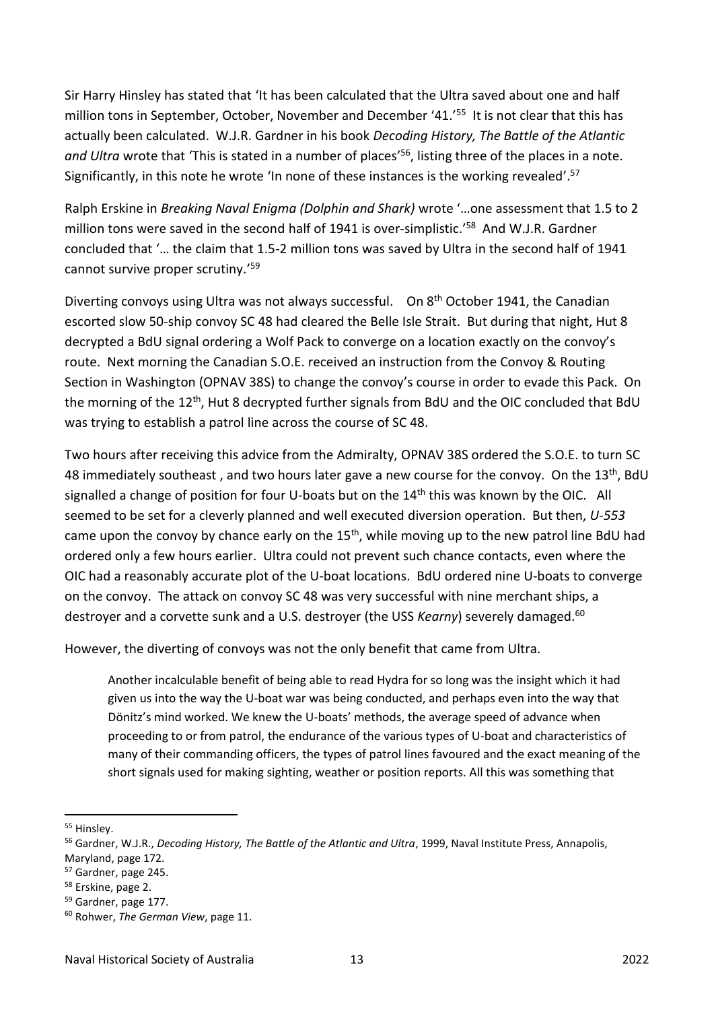Sir Harry Hinsley has stated that 'It has been calculated that the Ultra saved about one and half million tons in September, October, November and December '41.' 55 It is not clear that this has actually been calculated. W.J.R. Gardner in his book *Decoding History, The Battle of the Atlantic*  and Ultra wrote that 'This is stated in a number of places'<sup>56</sup>, listing three of the places in a note. Significantly, in this note he wrote 'In none of these instances is the working revealed'.<sup>57</sup>

Ralph Erskine in *Breaking Naval Enigma (Dolphin and Shark)* wrote '…one assessment that 1.5 to 2 million tons were saved in the second half of 1941 is over-simplistic.<sup>'58</sup> And W.J.R. Gardner concluded that '… the claim that 1.5-2 million tons was saved by Ultra in the second half of 1941 cannot survive proper scrutiny.' 59

Diverting convoys using Ultra was not always successful. On 8<sup>th</sup> October 1941, the Canadian escorted slow 50-ship convoy SC 48 had cleared the Belle Isle Strait. But during that night, Hut 8 decrypted a BdU signal ordering a Wolf Pack to converge on a location exactly on the convoy's route. Next morning the Canadian S.O.E. received an instruction from the Convoy & Routing Section in Washington (OPNAV 38S) to change the convoy's course in order to evade this Pack. On the morning of the 12th, Hut 8 decrypted further signals from BdU and the OIC concluded that BdU was trying to establish a patrol line across the course of SC 48.

Two hours after receiving this advice from the Admiralty, OPNAV 38S ordered the S.O.E. to turn SC 48 immediately southeast, and two hours later gave a new course for the convoy. On the 13<sup>th</sup>, BdU signalled a change of position for four U-boats but on the  $14<sup>th</sup>$  this was known by the OIC. All seemed to be set for a cleverly planned and well executed diversion operation. But then, *U-553* came upon the convoy by chance early on the 15<sup>th</sup>, while moving up to the new patrol line BdU had ordered only a few hours earlier. Ultra could not prevent such chance contacts, even where the OIC had a reasonably accurate plot of the U-boat locations. BdU ordered nine U-boats to converge on the convoy. The attack on convoy SC 48 was very successful with nine merchant ships, a destroyer and a corvette sunk and a U.S. destroyer (the USS *Kearny*) severely damaged.<sup>60</sup>

However, the diverting of convoys was not the only benefit that came from Ultra.

Another incalculable benefit of being able to read Hydra for so long was the insight which it had given us into the way the U-boat war was being conducted, and perhaps even into the way that Dönitz's mind worked. We knew the U-boats' methods, the average speed of advance when proceeding to or from patrol, the endurance of the various types of U-boat and characteristics of many of their commanding officers, the types of patrol lines favoured and the exact meaning of the short signals used for making sighting, weather or position reports. All this was something that

<sup>&</sup>lt;sup>55</sup> Hinsley.

<sup>56</sup> Gardner, W.J.R., *Decoding History, The Battle of the Atlantic and Ultra*, 1999, Naval Institute Press, Annapolis, Maryland, page 172.

<sup>57</sup> Gardner, page 245.

<sup>58</sup> Erskine, page 2.

<sup>59</sup> Gardner, page 177.

<sup>60</sup> Rohwer, *The German View*, page 11.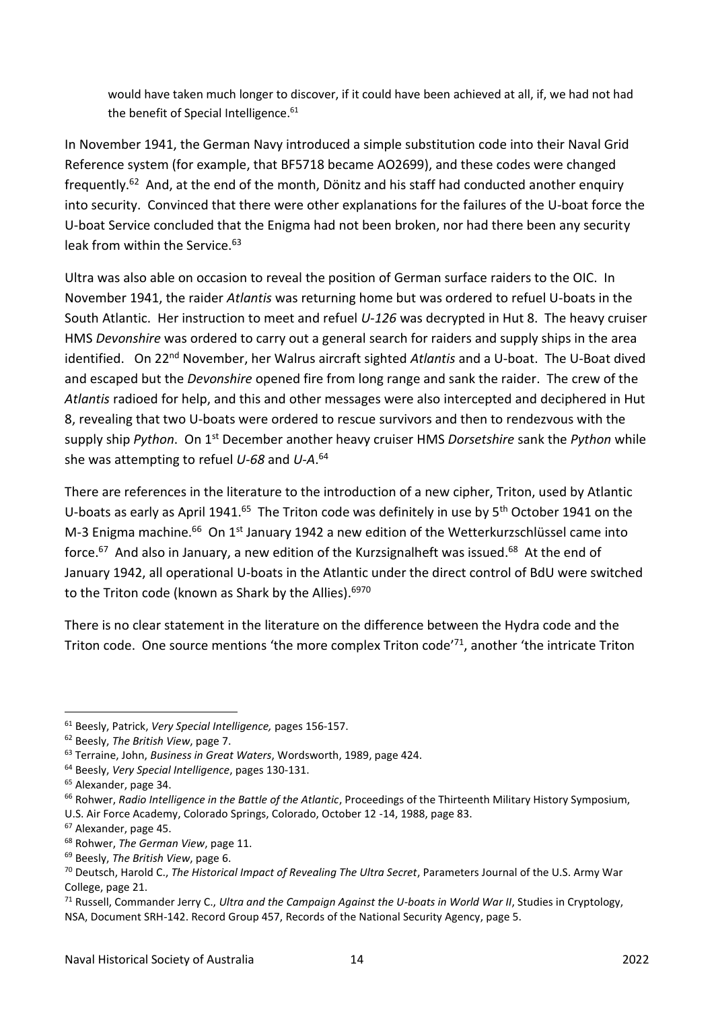would have taken much longer to discover, if it could have been achieved at all, if, we had not had the benefit of Special Intelligence.<sup>61</sup>

In November 1941, the German Navy introduced a simple substitution code into their Naval Grid Reference system (for example, that BF5718 became AO2699), and these codes were changed frequently.<sup>62</sup> And, at the end of the month, Dönitz and his staff had conducted another enquiry into security. Convinced that there were other explanations for the failures of the U-boat force the U-boat Service concluded that the Enigma had not been broken, nor had there been any security leak from within the Service.<sup>63</sup>

Ultra was also able on occasion to reveal the position of German surface raiders to the OIC. In November 1941, the raider *Atlantis* was returning home but was ordered to refuel U-boats in the South Atlantic. Her instruction to meet and refuel *U-126* was decrypted in Hut 8. The heavy cruiser HMS *Devonshire* was ordered to carry out a general search for raiders and supply ships in the area identified. On 22nd November, her Walrus aircraft sighted *Atlantis* and a U-boat. The U-Boat dived and escaped but the *Devonshire* opened fire from long range and sank the raider. The crew of the *Atlantis* radioed for help, and this and other messages were also intercepted and deciphered in Hut 8, revealing that two U-boats were ordered to rescue survivors and then to rendezvous with the supply ship *Python*. On 1st December another heavy cruiser HMS *Dorsetshire* sank the *Python* while she was attempting to refuel *U-68* and *U-A*. 64

There are references in the literature to the introduction of a new cipher, Triton, used by Atlantic U-boats as early as April 1941.<sup>65</sup> The Triton code was definitely in use by 5<sup>th</sup> October 1941 on the M-3 Enigma machine.<sup>66</sup> On 1<sup>st</sup> January 1942 a new edition of the Wetterkurzschlüssel came into force.<sup>67</sup> And also in January, a new edition of the Kurzsignalheft was issued.<sup>68</sup> At the end of January 1942, all operational U-boats in the Atlantic under the direct control of BdU were switched to the Triton code (known as Shark by the Allies).<sup>6970</sup>

There is no clear statement in the literature on the difference between the Hydra code and the Triton code. One source mentions 'the more complex Triton code' <sup>71</sup>, another 'the intricate Triton

<sup>61</sup> Beesly, Patrick, *Very Special Intelligence,* pages 156-157.

<sup>62</sup> Beesly, *The British View*, page 7.

<sup>63</sup> Terraine, John, *Business in Great Waters*, Wordsworth, 1989, page 424.

<sup>64</sup> Beesly, *Very Special Intelligence*, pages 130-131.

<sup>65</sup> Alexander, page 34.

<sup>&</sup>lt;sup>66</sup> Rohwer, *Radio Intelligence in the Battle of the Atlantic*, Proceedings of the Thirteenth Military History Symposium, U.S. Air Force Academy, Colorado Springs, Colorado, October 12 -14, 1988, page 83.

<sup>67</sup> Alexander, page 45.

<sup>68</sup> Rohwer, *The German View*, page 11.

<sup>69</sup> Beesly, *The British View*, page 6.

<sup>70</sup> Deutsch, Harold C., *The Historical Impact of Revealing The Ultra Secret*, Parameters Journal of the U.S. Army War College, page 21.

<sup>71</sup> Russell, Commander Jerry C., *Ultra and the Campaign Against the U-boats in World War II*, Studies in Cryptology, NSA, Document SRH-142. Record Group 457, Records of the National Security Agency, page 5.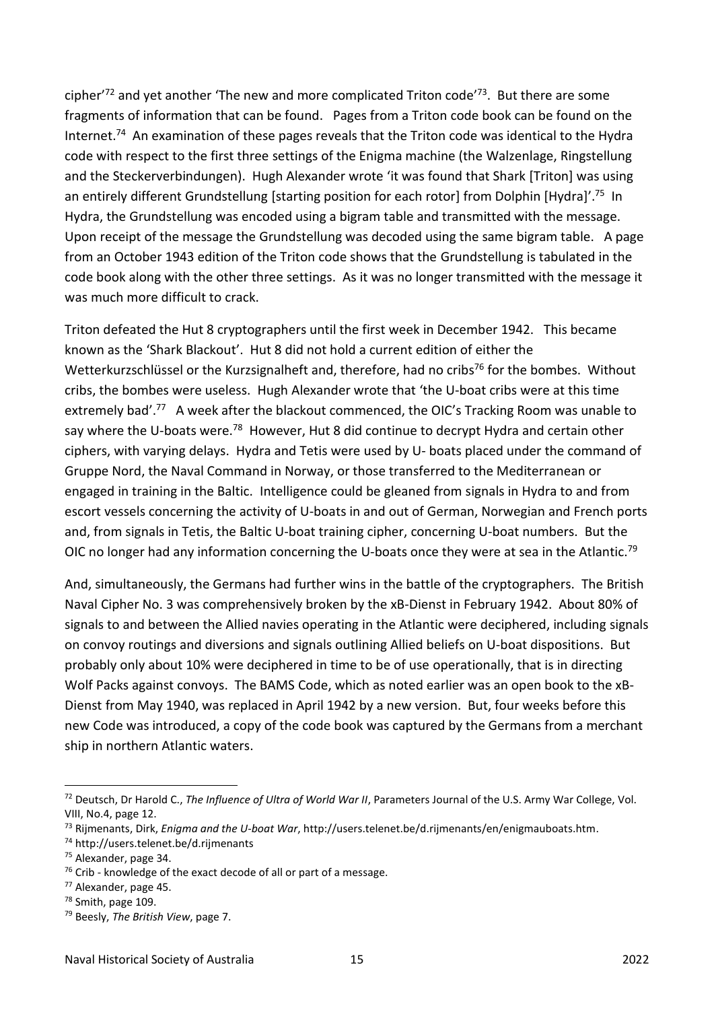cipher' <sup>72</sup> and yet another 'The new and more complicated Triton code' <sup>73</sup>. But there are some fragments of information that can be found. Pages from a Triton code book can be found on the Internet.<sup>74</sup> An examination of these pages reveals that the Triton code was identical to the Hydra code with respect to the first three settings of the Enigma machine (the Walzenlage, Ringstellung and the Steckerverbindungen). Hugh Alexander wrote 'it was found that Shark [Triton] was using an entirely different Grundstellung [starting position for each rotor] from Dolphin [Hydra]'.<sup>75</sup> In Hydra, the Grundstellung was encoded using a bigram table and transmitted with the message. Upon receipt of the message the Grundstellung was decoded using the same bigram table. A page from an October 1943 edition of the Triton code shows that the Grundstellung is tabulated in the code book along with the other three settings. As it was no longer transmitted with the message it was much more difficult to crack.

Triton defeated the Hut 8 cryptographers until the first week in December 1942. This became known as the 'Shark Blackout'. Hut 8 did not hold a current edition of either the Wetterkurzschlüssel or the Kurzsignalheft and, therefore, had no cribs<sup>76</sup> for the bombes. Without cribs, the bombes were useless. Hugh Alexander wrote that 'the U-boat cribs were at this time extremely bad'.<sup>77</sup> A week after the blackout commenced, the OIC's Tracking Room was unable to say where the U-boats were.<sup>78</sup> However, Hut 8 did continue to decrypt Hydra and certain other ciphers, with varying delays. Hydra and Tetis were used by U- boats placed under the command of Gruppe Nord, the Naval Command in Norway, or those transferred to the Mediterranean or engaged in training in the Baltic. Intelligence could be gleaned from signals in Hydra to and from escort vessels concerning the activity of U-boats in and out of German, Norwegian and French ports and, from signals in Tetis, the Baltic U-boat training cipher, concerning U-boat numbers. But the OIC no longer had any information concerning the U-boats once they were at sea in the Atlantic.<sup>79</sup>

And, simultaneously, the Germans had further wins in the battle of the cryptographers. The British Naval Cipher No. 3 was comprehensively broken by the xB-Dienst in February 1942. About 80% of signals to and between the Allied navies operating in the Atlantic were deciphered, including signals on convoy routings and diversions and signals outlining Allied beliefs on U-boat dispositions. But probably only about 10% were deciphered in time to be of use operationally, that is in directing Wolf Packs against convoys. The BAMS Code, which as noted earlier was an open book to the xB-Dienst from May 1940, was replaced in April 1942 by a new version. But, four weeks before this new Code was introduced, a copy of the code book was captured by the Germans from a merchant ship in northern Atlantic waters.

<sup>72</sup> Deutsch, Dr Harold C., *The Influence of Ultra of World War II*, Parameters Journal of the U.S. Army War College, Vol. VIII, No.4, page 12.

<sup>73</sup> Rijmenants, Dirk, *Enigma and the U-boat War*, http://users.telenet.be/d.rijmenants/en/enigmauboats.htm.

<sup>74</sup> http://users.telenet.be/d.rijmenants

<sup>75</sup> Alexander, page 34.

 $76$  Crib - knowledge of the exact decode of all or part of a message.

<sup>77</sup> Alexander, page 45.

<sup>78</sup> Smith, page 109.

<sup>79</sup> Beesly, *The British View*, page 7.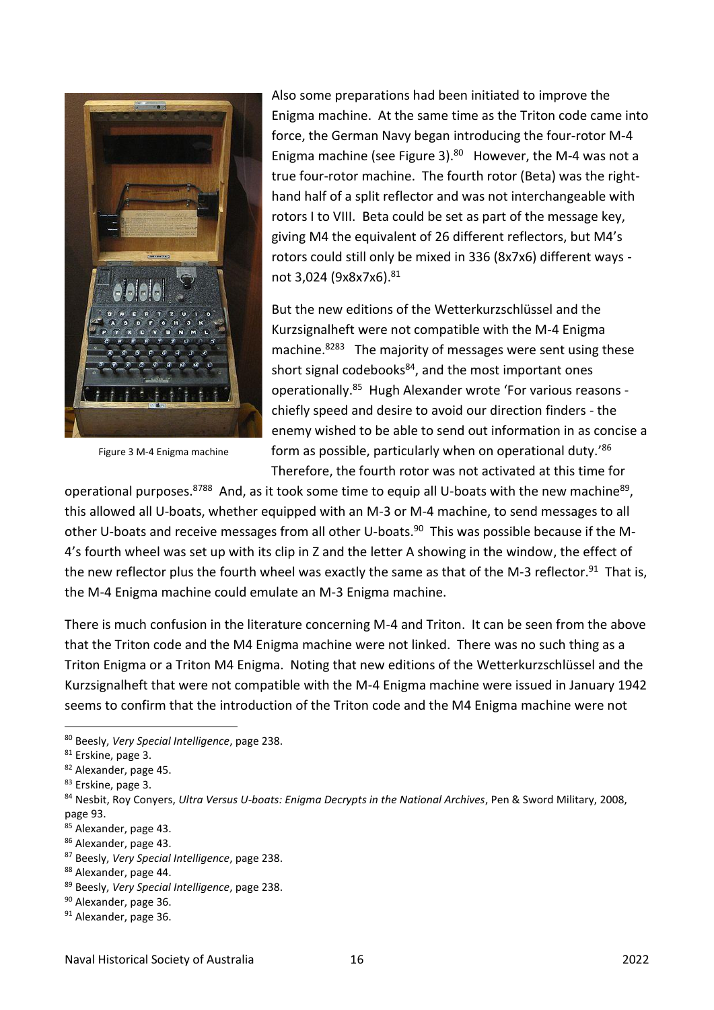

Figure 3 M-4 Enigma machine

Also some preparations had been initiated to improve the Enigma machine. At the same time as the Triton code came into force, the German Navy began introducing the four-rotor M-4 Enigma machine (see Figure 3). 80 However, the M-4 was not a true four-rotor machine. The fourth rotor (Beta) was the righthand half of a split reflector and was not interchangeable with rotors I to VIII. Beta could be set as part of the message key, giving M4 the equivalent of 26 different reflectors, but M4's rotors could still only be mixed in 336 (8x7x6) different ways not 3,024 (9x8x7x6).<sup>81</sup>

But the new editions of the Wetterkurzschlüssel and the Kurzsignalheft were not compatible with the M-4 Enigma machine.<sup>8283</sup> The majority of messages were sent using these short signal codebooks $84$ , and the most important ones operationally.<sup>85</sup> Hugh Alexander wrote 'For various reasons chiefly speed and desire to avoid our direction finders - the enemy wished to be able to send out information in as concise a form as possible, particularly when on operational duty.' 86 Therefore, the fourth rotor was not activated at this time for

operational purposes.<sup>8788</sup> And, as it took some time to equip all U-boats with the new machine<sup>89</sup>, this allowed all U-boats, whether equipped with an M-3 or M-4 machine, to send messages to all other U-boats and receive messages from all other U-boats.<sup>90</sup> This was possible because if the M-4's fourth wheel was set up with its clip in Z and the letter A showing in the window, the effect of the new reflector plus the fourth wheel was exactly the same as that of the M-3 reflector.<sup>91</sup> That is, the M-4 Enigma machine could emulate an M-3 Enigma machine.

There is much confusion in the literature concerning M-4 and Triton. It can be seen from the above that the Triton code and the M4 Enigma machine were not linked. There was no such thing as a Triton Enigma or a Triton M4 Enigma. Noting that new editions of the Wetterkurzschlüssel and the Kurzsignalheft that were not compatible with the M-4 Enigma machine were issued in January 1942 seems to confirm that the introduction of the Triton code and the M4 Enigma machine were not

90 Alexander, page 36.

<sup>80</sup> Beesly, *Very Special Intelligence*, page 238.

<sup>81</sup> Erskine, page 3.

<sup>82</sup> Alexander, page 45.

<sup>83</sup> Erskine, page 3.

<sup>84</sup> Nesbit, Roy Conyers, *Ultra Versus U-boats: Enigma Decrypts in the National Archives*, Pen & Sword Military, 2008, page 93.

<sup>85</sup> Alexander, page 43.

<sup>86</sup> Alexander, page 43.

<sup>87</sup> Beesly, *Very Special Intelligence*, page 238.

<sup>88</sup> Alexander, page 44.

<sup>89</sup> Beesly, *Very Special Intelligence*, page 238.

<sup>&</sup>lt;sup>91</sup> Alexander, page 36.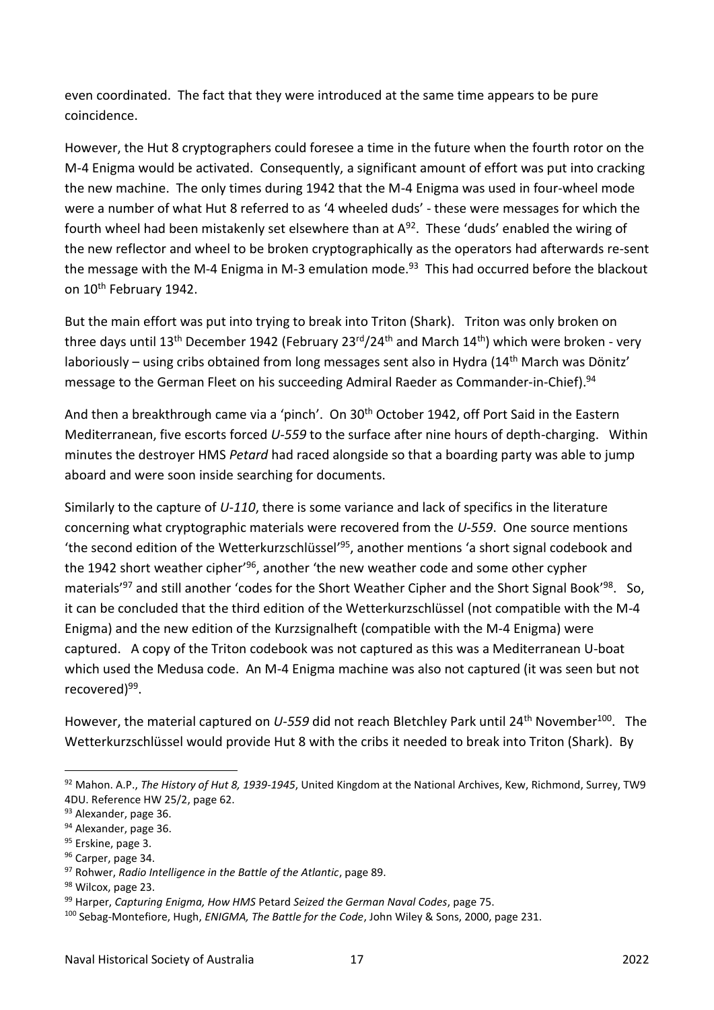even coordinated. The fact that they were introduced at the same time appears to be pure coincidence.

However, the Hut 8 cryptographers could foresee a time in the future when the fourth rotor on the M-4 Enigma would be activated. Consequently, a significant amount of effort was put into cracking the new machine. The only times during 1942 that the M-4 Enigma was used in four-wheel mode were a number of what Hut 8 referred to as '4 wheeled duds' - these were messages for which the fourth wheel had been mistakenly set elsewhere than at A<sup>92</sup>. These 'duds' enabled the wiring of the new reflector and wheel to be broken cryptographically as the operators had afterwards re-sent the message with the M-4 Enigma in M-3 emulation mode.<sup>93</sup> This had occurred before the blackout on 10<sup>th</sup> February 1942.

But the main effort was put into trying to break into Triton (Shark). Triton was only broken on three days until 13<sup>th</sup> December 1942 (February 23<sup>rd</sup>/24<sup>th</sup> and March 14<sup>th</sup>) which were broken - very laboriously – using cribs obtained from long messages sent also in Hydra (14<sup>th</sup> March was Dönitz' message to the German Fleet on his succeeding Admiral Raeder as Commander-in-Chief). 94

And then a breakthrough came via a 'pinch'. On 30<sup>th</sup> October 1942, off Port Said in the Eastern Mediterranean, five escorts forced *U-559* to the surface after nine hours of depth-charging. Within minutes the destroyer HMS *Petard* had raced alongside so that a boarding party was able to jump aboard and were soon inside searching for documents.

Similarly to the capture of *U-110*, there is some variance and lack of specifics in the literature concerning what cryptographic materials were recovered from the *U-559*. One source mentions 'the second edition of the Wetterkurzschlüssel' <sup>95</sup>, another mentions 'a short signal codebook and the 1942 short weather cipher<sup>'96</sup>, another 'the new weather code and some other cypher materials<sup>'97</sup> and still another 'codes for the Short Weather Cipher and the Short Signal Book'<sup>98</sup>. So, it can be concluded that the third edition of the Wetterkurzschlüssel (not compatible with the M-4 Enigma) and the new edition of the Kurzsignalheft (compatible with the M-4 Enigma) were captured. A copy of the Triton codebook was not captured as this was a Mediterranean U-boat which used the Medusa code. An M-4 Enigma machine was also not captured (it was seen but not recovered)<sup>99</sup>.

However, the material captured on *U-559* did not reach Bletchley Park until 24<sup>th</sup> November<sup>100</sup>. The Wetterkurzschlüssel would provide Hut 8 with the cribs it needed to break into Triton (Shark). By

<sup>92</sup> Mahon. A.P., *The History of Hut 8, 1939-1945*, United Kingdom at the National Archives, Kew, Richmond, Surrey, TW9 4DU. Reference HW 25/2, page 62.

<sup>93</sup> Alexander, page 36.

<sup>&</sup>lt;sup>94</sup> Alexander, page 36.

<sup>95</sup> Erskine, page 3.

<sup>96</sup> Carper, page 34.

<sup>97</sup> Rohwer, *Radio Intelligence in the Battle of the Atlantic*, page 89.

<sup>98</sup> Wilcox, page 23.

<sup>99</sup> Harper, *Capturing Enigma, How HMS* Petard *Seized the German Naval Codes*, page 75.

<sup>100</sup> Sebag-Montefiore, Hugh, *ENIGMA, The Battle for the Code*, John Wiley & Sons, 2000, page 231.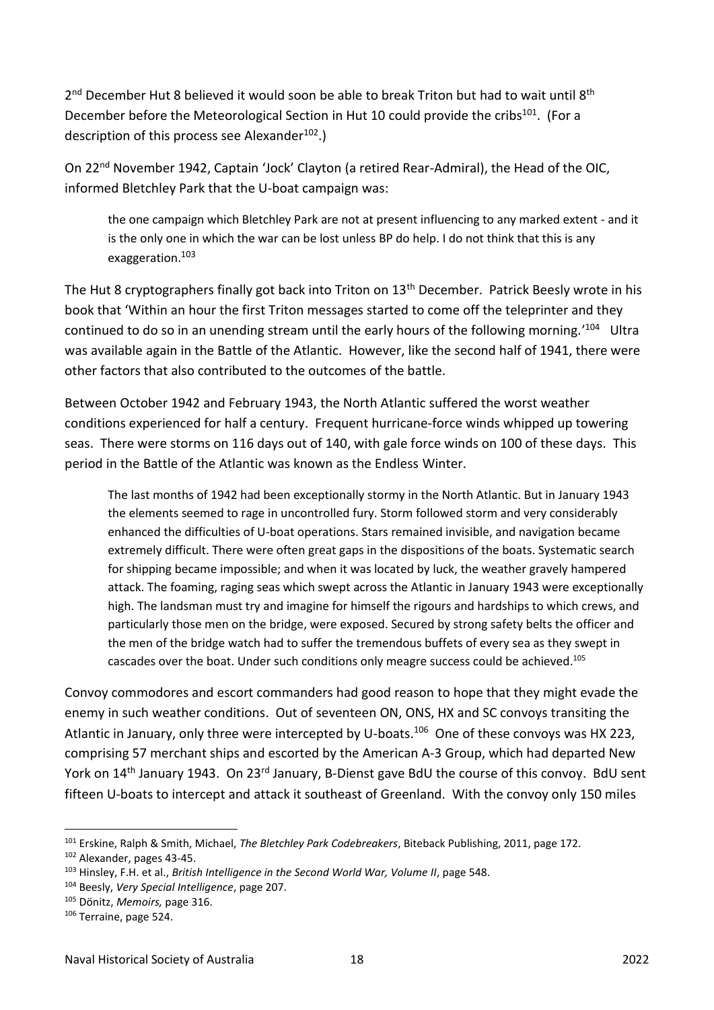2<sup>nd</sup> December Hut 8 believed it would soon be able to break Triton but had to wait until 8<sup>th</sup> December before the Meteorological Section in Hut 10 could provide the cribs<sup>101</sup>. (For a description of this process see Alexander<sup>102</sup>.)

On 22nd November 1942, Captain 'Jock' Clayton (a retired Rear-Admiral), the Head of the OIC, informed Bletchley Park that the U-boat campaign was:

the one campaign which Bletchley Park are not at present influencing to any marked extent - and it is the only one in which the war can be lost unless BP do help. I do not think that this is any exaggeration.<sup>103</sup>

The Hut 8 cryptographers finally got back into Triton on 13<sup>th</sup> December. Patrick Beesly wrote in his book that 'Within an hour the first Triton messages started to come off the teleprinter and they continued to do so in an unending stream until the early hours of the following morning.<sup>'104</sup> Ultra was available again in the Battle of the Atlantic. However, like the second half of 1941, there were other factors that also contributed to the outcomes of the battle.

Between October 1942 and February 1943, the North Atlantic suffered the worst weather conditions experienced for half a century. Frequent hurricane-force winds whipped up towering seas. There were storms on 116 days out of 140, with gale force winds on 100 of these days. This period in the Battle of the Atlantic was known as the Endless Winter.

The last months of 1942 had been exceptionally stormy in the North Atlantic. But in January 1943 the elements seemed to rage in uncontrolled fury. Storm followed storm and very considerably enhanced the difficulties of U-boat operations. Stars remained invisible, and navigation became extremely difficult. There were often great gaps in the dispositions of the boats. Systematic search for shipping became impossible; and when it was located by luck, the weather gravely hampered attack. The foaming, raging seas which swept across the Atlantic in January 1943 were exceptionally high. The landsman must try and imagine for himself the rigours and hardships to which crews, and particularly those men on the bridge, were exposed. Secured by strong safety belts the officer and the men of the bridge watch had to suffer the tremendous buffets of every sea as they swept in cascades over the boat. Under such conditions only meagre success could be achieved.<sup>105</sup>

Convoy commodores and escort commanders had good reason to hope that they might evade the enemy in such weather conditions. Out of seventeen ON, ONS, HX and SC convoys transiting the Atlantic in January, only three were intercepted by U-boats.<sup>106</sup> One of these convoys was HX 223, comprising 57 merchant ships and escorted by the American A-3 Group, which had departed New York on 14<sup>th</sup> January 1943. On 23<sup>rd</sup> January, B-Dienst gave BdU the course of this convoy. BdU sent fifteen U-boats to intercept and attack it southeast of Greenland. With the convoy only 150 miles

<sup>101</sup> Erskine, Ralph & Smith, Michael, *The Bletchley Park Codebreakers*, Biteback Publishing, 2011, page 172.

<sup>102</sup> Alexander, pages 43-45.

<sup>&</sup>lt;sup>103</sup> Hinsley, F.H. et al., *British Intelligence in the Second World War, Volume II*, page 548.

<sup>104</sup> Beesly, *Very Special Intelligence*, page 207.

<sup>105</sup> Dönitz, *Memoirs,* page 316.

<sup>106</sup> Terraine, page 524.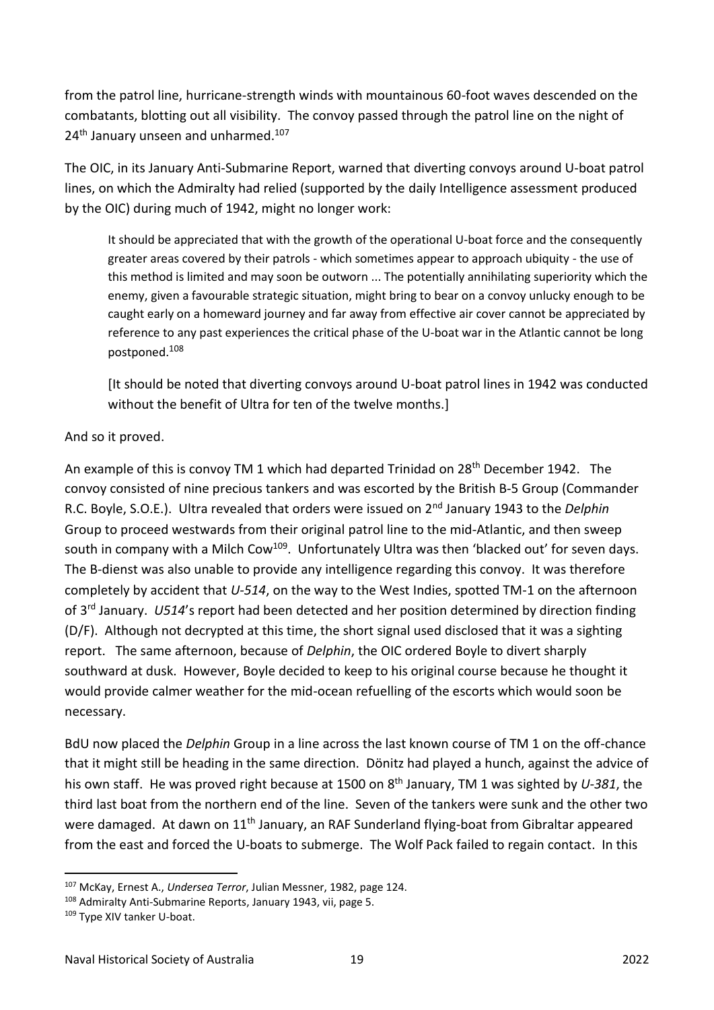from the patrol line, hurricane-strength winds with mountainous 60-foot waves descended on the combatants, blotting out all visibility. The convoy passed through the patrol line on the night of 24<sup>th</sup> January unseen and unharmed.<sup>107</sup>

The OIC, in its January Anti-Submarine Report, warned that diverting convoys around U-boat patrol lines, on which the Admiralty had relied (supported by the daily Intelligence assessment produced by the OIC) during much of 1942, might no longer work:

It should be appreciated that with the growth of the operational U-boat force and the consequently greater areas covered by their patrols - which sometimes appear to approach ubiquity - the use of this method is limited and may soon be outworn ... The potentially annihilating superiority which the enemy, given a favourable strategic situation, might bring to bear on a convoy unlucky enough to be caught early on a homeward journey and far away from effective air cover cannot be appreciated by reference to any past experiences the critical phase of the U-boat war in the Atlantic cannot be long postponed.<sup>108</sup>

[It should be noted that diverting convoys around U-boat patrol lines in 1942 was conducted without the benefit of Ultra for ten of the twelve months.]

# And so it proved.

An example of this is convoy TM 1 which had departed Trinidad on 28<sup>th</sup> December 1942. The convoy consisted of nine precious tankers and was escorted by the British B-5 Group (Commander R.C. Boyle, S.O.E.). Ultra revealed that orders were issued on 2nd January 1943 to the *Delphin* Group to proceed westwards from their original patrol line to the mid-Atlantic, and then sweep south in company with a Milch Cow<sup>109</sup>. Unfortunately Ultra was then 'blacked out' for seven days. The B-dienst was also unable to provide any intelligence regarding this convoy. It was therefore completely by accident that *U-514*, on the way to the West Indies, spotted TM-1 on the afternoon of 3<sup>rd</sup> January. *U514's* report had been detected and her position determined by direction finding (D/F). Although not decrypted at this time, the short signal used disclosed that it was a sighting report. The same afternoon, because of *Delphin*, the OIC ordered Boyle to divert sharply southward at dusk. However, Boyle decided to keep to his original course because he thought it would provide calmer weather for the mid-ocean refuelling of the escorts which would soon be necessary.

BdU now placed the *Delphin* Group in a line across the last known course of TM 1 on the off-chance that it might still be heading in the same direction. Dönitz had played a hunch, against the advice of his own staff. He was proved right because at 1500 on 8th January, TM 1 was sighted by *U-381*, the third last boat from the northern end of the line. Seven of the tankers were sunk and the other two were damaged. At dawn on 11<sup>th</sup> January, an RAF Sunderland flying-boat from Gibraltar appeared from the east and forced the U-boats to submerge. The Wolf Pack failed to regain contact. In this

<sup>107</sup> McKay, Ernest A., *Undersea Terror*, Julian Messner, 1982, page 124.

<sup>108</sup> Admiralty Anti-Submarine Reports, January 1943, vii, page 5.

<sup>109</sup> Type XIV tanker U-boat.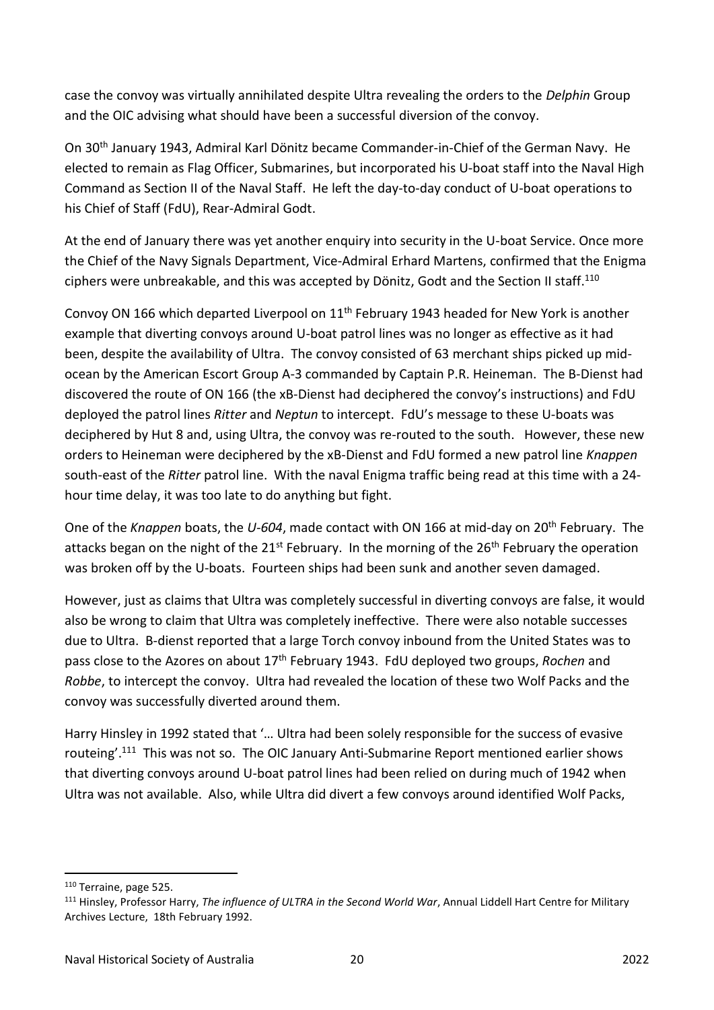case the convoy was virtually annihilated despite Ultra revealing the orders to the *Delphin* Group and the OIC advising what should have been a successful diversion of the convoy.

On 30th January 1943, Admiral Karl Dönitz became Commander-in-Chief of the German Navy. He elected to remain as Flag Officer, Submarines, but incorporated his U-boat staff into the Naval High Command as Section II of the Naval Staff. He left the day-to-day conduct of U-boat operations to his Chief of Staff (FdU), Rear-Admiral Godt.

At the end of January there was yet another enquiry into security in the U-boat Service. Once more the Chief of the Navy Signals Department, Vice-Admiral Erhard Martens, confirmed that the Enigma ciphers were unbreakable, and this was accepted by Dönitz, Godt and the Section II staff.<sup>110</sup>

Convoy ON 166 which departed Liverpool on 11th February 1943 headed for New York is another example that diverting convoys around U-boat patrol lines was no longer as effective as it had been, despite the availability of Ultra. The convoy consisted of 63 merchant ships picked up midocean by the American Escort Group A-3 commanded by Captain P.R. Heineman. The B-Dienst had discovered the route of ON 166 (the xB-Dienst had deciphered the convoy's instructions) and FdU deployed the patrol lines *Ritter* and *Neptun* to intercept. FdU's message to these U-boats was deciphered by Hut 8 and, using Ultra, the convoy was re-routed to the south. However, these new orders to Heineman were deciphered by the xB-Dienst and FdU formed a new patrol line *Knappen* south-east of the *Ritter* patrol line. With the naval Enigma traffic being read at this time with a 24 hour time delay, it was too late to do anything but fight.

One of the *Knappen* boats, the *U-604*, made contact with ON 166 at mid-day on 20th February. The attacks began on the night of the  $21^{st}$  February. In the morning of the  $26^{th}$  February the operation was broken off by the U-boats. Fourteen ships had been sunk and another seven damaged.

However, just as claims that Ultra was completely successful in diverting convoys are false, it would also be wrong to claim that Ultra was completely ineffective. There were also notable successes due to Ultra. B-dienst reported that a large Torch convoy inbound from the United States was to pass close to the Azores on about 17th February 1943. FdU deployed two groups, *Rochen* and *Robbe*, to intercept the convoy. Ultra had revealed the location of these two Wolf Packs and the convoy was successfully diverted around them.

Harry Hinsley in 1992 stated that '… Ultra had been solely responsible for the success of evasive routeing'.<sup>111</sup> This was not so. The OIC January Anti-Submarine Report mentioned earlier shows that diverting convoys around U-boat patrol lines had been relied on during much of 1942 when Ultra was not available. Also, while Ultra did divert a few convoys around identified Wolf Packs,

<sup>110</sup> Terraine, page 525.

<sup>111</sup> Hinsley, Professor Harry, *The influence of ULTRA in the Second World War*, Annual Liddell Hart Centre for Military Archives Lecture, 18th February 1992.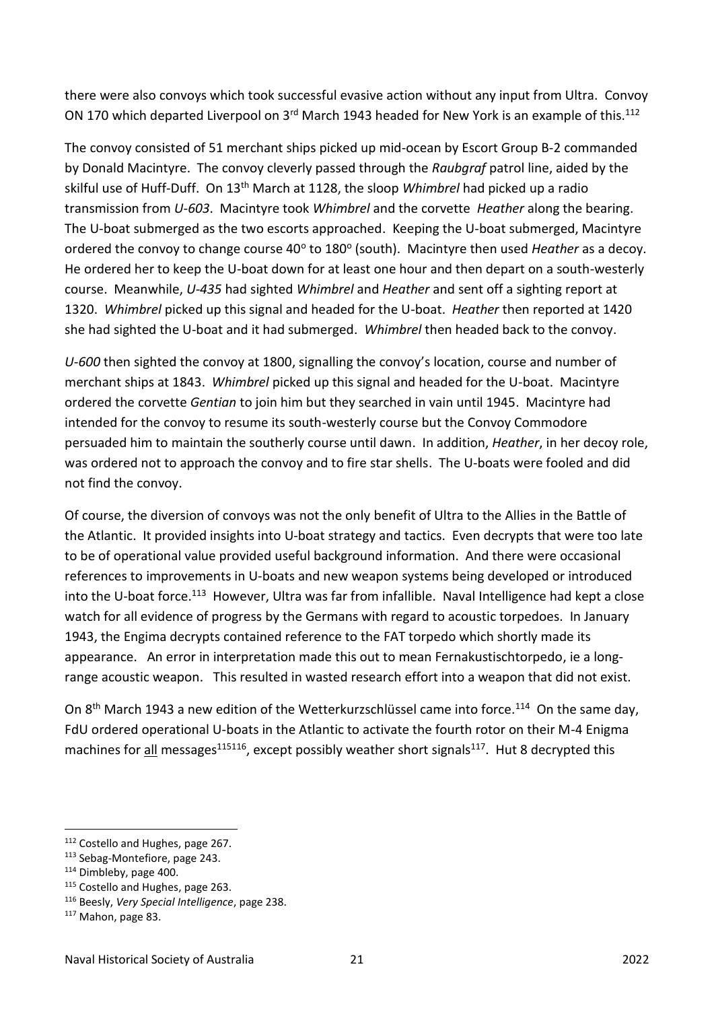there were also convoys which took successful evasive action without any input from Ultra. Convoy ON 170 which departed Liverpool on 3<sup>rd</sup> March 1943 headed for New York is an example of this.<sup>112</sup>

The convoy consisted of 51 merchant ships picked up mid-ocean by Escort Group B-2 commanded by Donald Macintyre. The convoy cleverly passed through the *Raubgraf* patrol line, aided by the skilful use of Huff-Duff. On 13th March at 1128, the sloop *Whimbrel* had picked up a radio transmission from *U-603*. Macintyre took *Whimbrel* and the corvette *Heather* along the bearing. The U-boat submerged as the two escorts approached. Keeping the U-boat submerged, Macintyre ordered the convoy to change course 40° to 180° (south). Macintyre then used *Heather* as a decoy. He ordered her to keep the U-boat down for at least one hour and then depart on a south-westerly course. Meanwhile, *U-435* had sighted *Whimbrel* and *Heather* and sent off a sighting report at 1320. *Whimbrel* picked up this signal and headed for the U-boat. *Heather* then reported at 1420 she had sighted the U-boat and it had submerged. *Whimbrel* then headed back to the convoy.

*U-600* then sighted the convoy at 1800, signalling the convoy's location, course and number of merchant ships at 1843. *Whimbrel* picked up this signal and headed for the U-boat. Macintyre ordered the corvette *Gentian* to join him but they searched in vain until 1945. Macintyre had intended for the convoy to resume its south-westerly course but the Convoy Commodore persuaded him to maintain the southerly course until dawn. In addition, *Heather*, in her decoy role, was ordered not to approach the convoy and to fire star shells. The U-boats were fooled and did not find the convoy.

Of course, the diversion of convoys was not the only benefit of Ultra to the Allies in the Battle of the Atlantic. It provided insights into U-boat strategy and tactics. Even decrypts that were too late to be of operational value provided useful background information. And there were occasional references to improvements in U-boats and new weapon systems being developed or introduced into the U-boat force.<sup>113</sup> However, Ultra was far from infallible. Naval Intelligence had kept a close watch for all evidence of progress by the Germans with regard to acoustic torpedoes. In January 1943, the Engima decrypts contained reference to the FAT torpedo which shortly made its appearance. An error in interpretation made this out to mean Fernakustischtorpedo, ie a longrange acoustic weapon. This resulted in wasted research effort into a weapon that did not exist.

On 8<sup>th</sup> March 1943 a new edition of the Wetterkurzschlüssel came into force.<sup>114</sup> On the same day, FdU ordered operational U-boats in the Atlantic to activate the fourth rotor on their M-4 Enigma machines for all messages<sup>115116</sup>, except possibly weather short signals<sup>117</sup>. Hut 8 decrypted this

<sup>112</sup> Costello and Hughes, page 267.

<sup>113</sup> Sebag-Montefiore, page 243.

<sup>&</sup>lt;sup>114</sup> Dimbleby, page 400.

<sup>115</sup> Costello and Hughes, page 263.

<sup>116</sup> Beesly, *Very Special Intelligence*, page 238.

<sup>&</sup>lt;sup>117</sup> Mahon, page 83.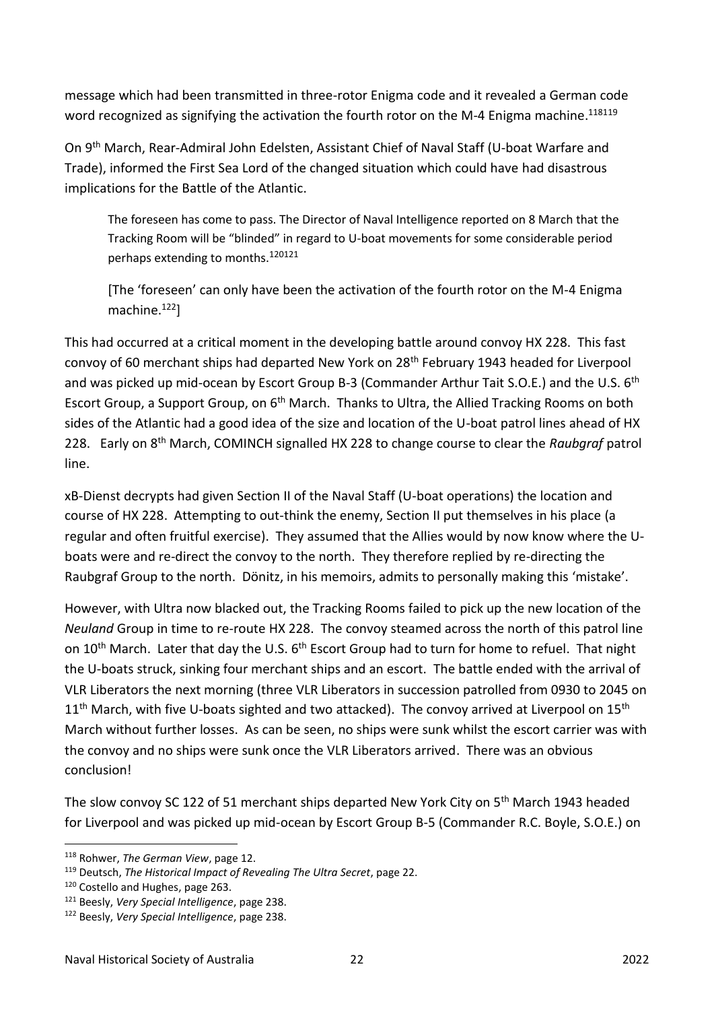message which had been transmitted in three-rotor Enigma code and it revealed a German code word recognized as signifying the activation the fourth rotor on the M-4 Enigma machine.<sup>118119</sup>

On 9th March, Rear-Admiral John Edelsten, Assistant Chief of Naval Staff (U-boat Warfare and Trade), informed the First Sea Lord of the changed situation which could have had disastrous implications for the Battle of the Atlantic.

The foreseen has come to pass. The Director of Naval Intelligence reported on 8 March that the Tracking Room will be "blinded" in regard to U-boat movements for some considerable period perhaps extending to months.<sup>120121</sup>

[The 'foreseen' can only have been the activation of the fourth rotor on the M-4 Enigma machine.<sup>122</sup>]

This had occurred at a critical moment in the developing battle around convoy HX 228. This fast convoy of 60 merchant ships had departed New York on 28th February 1943 headed for Liverpool and was picked up mid-ocean by Escort Group B-3 (Commander Arthur Tait S.O.E.) and the U.S. 6<sup>th</sup> Escort Group, a Support Group, on 6<sup>th</sup> March. Thanks to Ultra, the Allied Tracking Rooms on both sides of the Atlantic had a good idea of the size and location of the U-boat patrol lines ahead of HX 228. Early on 8th March, COMINCH signalled HX 228 to change course to clear the *Raubgraf* patrol line.

xB-Dienst decrypts had given Section II of the Naval Staff (U-boat operations) the location and course of HX 228. Attempting to out-think the enemy, Section II put themselves in his place (a regular and often fruitful exercise). They assumed that the Allies would by now know where the Uboats were and re-direct the convoy to the north. They therefore replied by re-directing the Raubgraf Group to the north. Dönitz, in his memoirs, admits to personally making this 'mistake'.

However, with Ultra now blacked out, the Tracking Rooms failed to pick up the new location of the *Neuland* Group in time to re-route HX 228. The convoy steamed across the north of this patrol line on  $10^{th}$  March. Later that day the U.S.  $6^{th}$  Escort Group had to turn for home to refuel. That night the U-boats struck, sinking four merchant ships and an escort. The battle ended with the arrival of VLR Liberators the next morning (three VLR Liberators in succession patrolled from 0930 to 2045 on  $11<sup>th</sup>$  March, with five U-boats sighted and two attacked). The convoy arrived at Liverpool on  $15<sup>th</sup>$ March without further losses. As can be seen, no ships were sunk whilst the escort carrier was with the convoy and no ships were sunk once the VLR Liberators arrived. There was an obvious conclusion!

The slow convoy SC 122 of 51 merchant ships departed New York City on 5<sup>th</sup> March 1943 headed for Liverpool and was picked up mid-ocean by Escort Group B-5 (Commander R.C. Boyle, S.O.E.) on

<sup>118</sup> Rohwer, *The German View*, page 12.

<sup>119</sup> Deutsch, *The Historical Impact of Revealing The Ultra Secret*, page 22.

<sup>&</sup>lt;sup>120</sup> Costello and Hughes, page 263.

<sup>121</sup> Beesly, *Very Special Intelligence*, page 238.

<sup>122</sup> Beesly, *Very Special Intelligence*, page 238.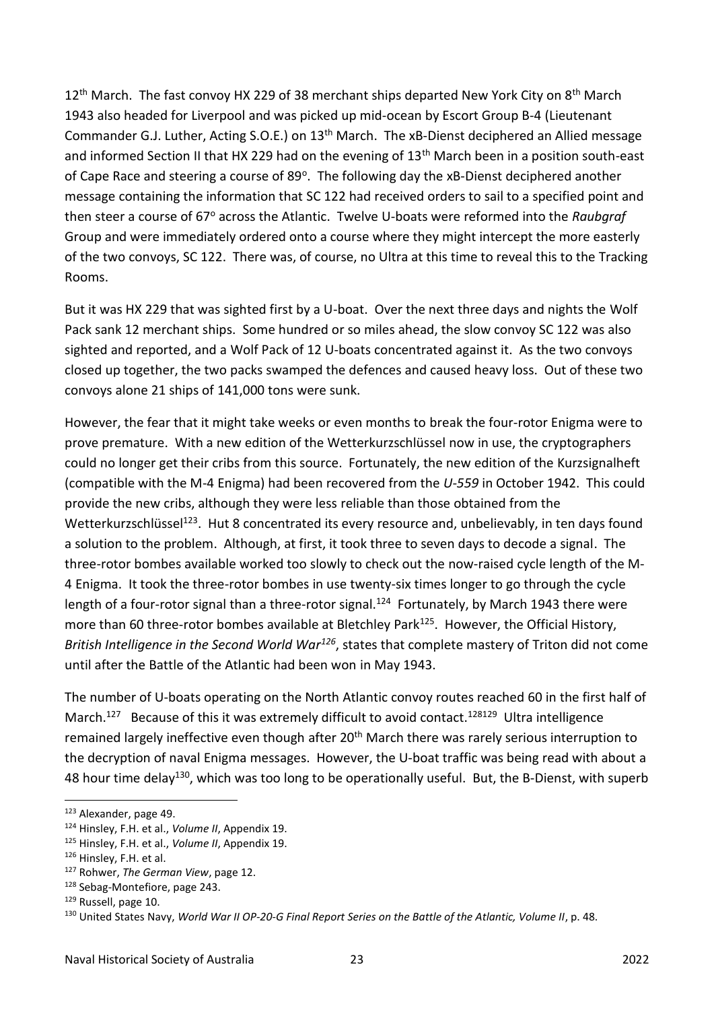$12<sup>th</sup>$  March. The fast convoy HX 229 of 38 merchant ships departed New York City on  $8<sup>th</sup>$  March 1943 also headed for Liverpool and was picked up mid-ocean by Escort Group B-4 (Lieutenant Commander G.J. Luther, Acting S.O.E.) on 13<sup>th</sup> March. The xB-Dienst deciphered an Allied message and informed Section II that HX 229 had on the evening of 13<sup>th</sup> March been in a position south-east of Cape Race and steering a course of 89°. The following day the xB-Dienst deciphered another message containing the information that SC 122 had received orders to sail to a specified point and then steer a course of 67° across the Atlantic. Twelve U-boats were reformed into the *Raubgraf* Group and were immediately ordered onto a course where they might intercept the more easterly of the two convoys, SC 122. There was, of course, no Ultra at this time to reveal this to the Tracking Rooms.

But it was HX 229 that was sighted first by a U-boat. Over the next three days and nights the Wolf Pack sank 12 merchant ships. Some hundred or so miles ahead, the slow convoy SC 122 was also sighted and reported, and a Wolf Pack of 12 U-boats concentrated against it. As the two convoys closed up together, the two packs swamped the defences and caused heavy loss. Out of these two convoys alone 21 ships of 141,000 tons were sunk.

However, the fear that it might take weeks or even months to break the four-rotor Enigma were to prove premature. With a new edition of the Wetterkurzschlüssel now in use, the cryptographers could no longer get their cribs from this source. Fortunately, the new edition of the Kurzsignalheft (compatible with the M-4 Enigma) had been recovered from the *U-559* in October 1942. This could provide the new cribs, although they were less reliable than those obtained from the Wetterkurzschlüssel<sup>123</sup>. Hut 8 concentrated its every resource and, unbelievably, in ten days found a solution to the problem. Although, at first, it took three to seven days to decode a signal. The three-rotor bombes available worked too slowly to check out the now-raised cycle length of the M-4 Enigma. It took the three-rotor bombes in use twenty-six times longer to go through the cycle length of a four-rotor signal than a three-rotor signal.<sup>124</sup> Fortunately, by March 1943 there were more than 60 three-rotor bombes available at Bletchley Park<sup>125</sup>. However, the Official History, *British Intelligence in the Second World War<sup>126</sup>* , states that complete mastery of Triton did not come until after the Battle of the Atlantic had been won in May 1943.

The number of U-boats operating on the North Atlantic convoy routes reached 60 in the first half of March.<sup>127</sup> Because of this it was extremely difficult to avoid contact.<sup>128129</sup> Ultra intelligence remained largely ineffective even though after 20<sup>th</sup> March there was rarely serious interruption to the decryption of naval Enigma messages. However, the U-boat traffic was being read with about a 48 hour time delay<sup>130</sup>, which was too long to be operationally useful. But, the B-Dienst, with superb

<sup>123</sup> Alexander, page 49.

<sup>124</sup> Hinsley, F.H. et al., *Volume II*, Appendix 19.

<sup>125</sup> Hinsley, F.H. et al., *Volume II*, Appendix 19.

<sup>126</sup> Hinsley, F.H. et al.

<sup>127</sup> Rohwer, *The German View*, page 12.

<sup>128</sup> Sebag-Montefiore, page 243.

<sup>129</sup> Russell, page 10.

<sup>130</sup> United States Navy, World War II OP-20-G Final Report Series on the Battle of the Atlantic, Volume II, p. 48.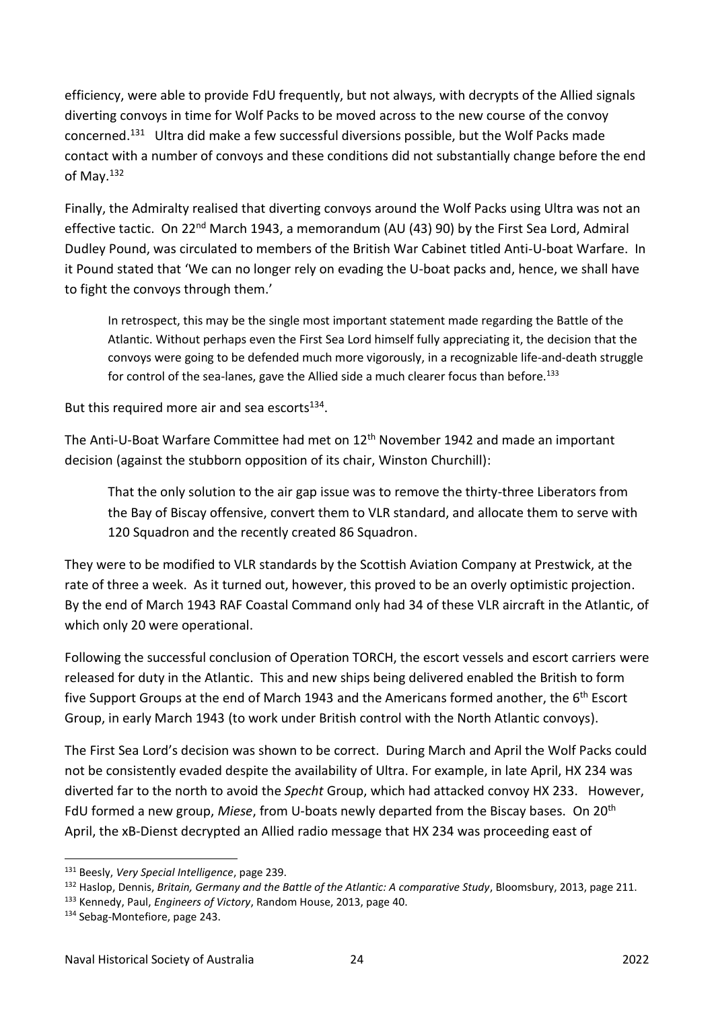efficiency, were able to provide FdU frequently, but not always, with decrypts of the Allied signals diverting convoys in time for Wolf Packs to be moved across to the new course of the convoy concerned.<sup>131</sup> Ultra did make a few successful diversions possible, but the Wolf Packs made contact with a number of convoys and these conditions did not substantially change before the end of May.<sup>132</sup>

Finally, the Admiralty realised that diverting convoys around the Wolf Packs using Ultra was not an effective tactic. On 22<sup>nd</sup> March 1943, a memorandum (AU (43) 90) by the First Sea Lord, Admiral Dudley Pound, was circulated to members of the British War Cabinet titled Anti-U-boat Warfare. In it Pound stated that 'We can no longer rely on evading the U-boat packs and, hence, we shall have to fight the convoys through them.'

In retrospect, this may be the single most important statement made regarding the Battle of the Atlantic. Without perhaps even the First Sea Lord himself fully appreciating it, the decision that the convoys were going to be defended much more vigorously, in a recognizable life-and-death struggle for control of the sea-lanes, gave the Allied side a much clearer focus than before.<sup>133</sup>

But this required more air and sea escorts $^{134}$ .

The Anti-U-Boat Warfare Committee had met on 12<sup>th</sup> November 1942 and made an important decision (against the stubborn opposition of its chair, Winston Churchill):

That the only solution to the air gap issue was to remove the thirty-three Liberators from the Bay of Biscay offensive, convert them to VLR standard, and allocate them to serve with 120 Squadron and the recently created 86 Squadron.

They were to be modified to VLR standards by the Scottish Aviation Company at Prestwick, at the rate of three a week. As it turned out, however, this proved to be an overly optimistic projection. By the end of March 1943 RAF Coastal Command only had 34 of these VLR aircraft in the Atlantic, of which only 20 were operational.

Following the successful conclusion of Operation TORCH, the escort vessels and escort carriers were released for duty in the Atlantic. This and new ships being delivered enabled the British to form five Support Groups at the end of March 1943 and the Americans formed another, the  $6<sup>th</sup>$  Escort Group, in early March 1943 (to work under British control with the North Atlantic convoys).

The First Sea Lord's decision was shown to be correct. During March and April the Wolf Packs could not be consistently evaded despite the availability of Ultra. For example, in late April, HX 234 was diverted far to the north to avoid the *Specht* Group, which had attacked convoy HX 233. However, FdU formed a new group, *Miese*, from U-boats newly departed from the Biscay bases. On 20th April, the xB-Dienst decrypted an Allied radio message that HX 234 was proceeding east of

<sup>131</sup> Beesly, *Very Special Intelligence*, page 239.

<sup>132</sup> Haslop, Dennis, *Britain, Germany and the Battle of the Atlantic: A comparative Study*, Bloomsbury, 2013, page 211.

<sup>133</sup> Kennedy, Paul, *Engineers of Victory*, Random House, 2013, page 40.

<sup>134</sup> Sebag-Montefiore, page 243.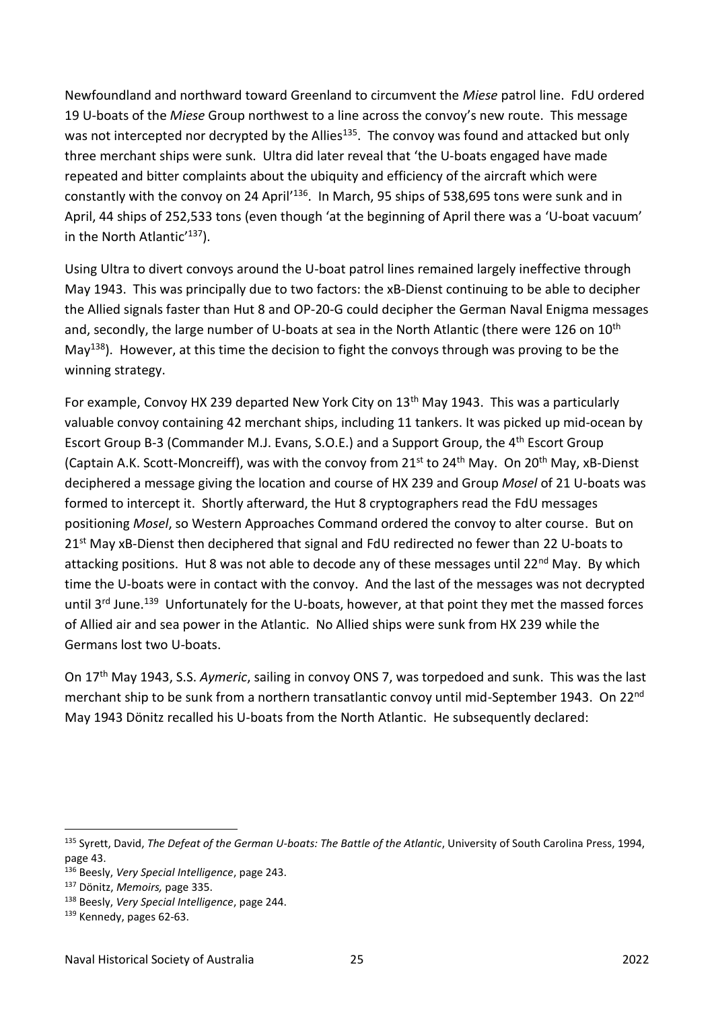Newfoundland and northward toward Greenland to circumvent the *Miese* patrol line. FdU ordered 19 U-boats of the *Miese* Group northwest to a line across the convoy's new route. This message was not intercepted nor decrypted by the Allies<sup>135</sup>. The convoy was found and attacked but only three merchant ships were sunk. Ultra did later reveal that 'the U-boats engaged have made repeated and bitter complaints about the ubiquity and efficiency of the aircraft which were constantly with the convoy on 24 April<sup>'136</sup>. In March, 95 ships of 538,695 tons were sunk and in April, 44 ships of 252,533 tons (even though 'at the beginning of April there was a 'U-boat vacuum' in the North Atlantic'<sup>137</sup>).

Using Ultra to divert convoys around the U-boat patrol lines remained largely ineffective through May 1943. This was principally due to two factors: the xB-Dienst continuing to be able to decipher the Allied signals faster than Hut 8 and OP-20-G could decipher the German Naval Enigma messages and, secondly, the large number of U-boats at sea in the North Atlantic (there were 126 on 10<sup>th</sup> May<sup>138</sup>). However, at this time the decision to fight the convoys through was proving to be the winning strategy.

For example, Convoy HX 239 departed New York City on 13<sup>th</sup> May 1943. This was a particularly valuable convoy containing 42 merchant ships, including 11 tankers. It was picked up mid-ocean by Escort Group B-3 (Commander M.J. Evans, S.O.E.) and a Support Group, the 4<sup>th</sup> Escort Group (Captain A.K. Scott-Moncreiff), was with the convoy from  $21^{st}$  to  $24^{th}$  May. On  $20^{th}$  May, xB-Dienst deciphered a message giving the location and course of HX 239 and Group *Mosel* of 21 U-boats was formed to intercept it. Shortly afterward, the Hut 8 cryptographers read the FdU messages positioning *Mosel*, so Western Approaches Command ordered the convoy to alter course. But on 21<sup>st</sup> May xB-Dienst then deciphered that signal and FdU redirected no fewer than 22 U-boats to attacking positions. Hut 8 was not able to decode any of these messages until 22<sup>nd</sup> May. By which time the U-boats were in contact with the convoy. And the last of the messages was not decrypted until 3<sup>rd</sup> June.<sup>139</sup> Unfortunately for the U-boats, however, at that point they met the massed forces of Allied air and sea power in the Atlantic. No Allied ships were sunk from HX 239 while the Germans lost two U-boats.

On 17th May 1943, S.S. *Aymeric*, sailing in convoy ONS 7, was torpedoed and sunk. This was the last merchant ship to be sunk from a northern transatlantic convoy until mid-September 1943. On 22<sup>nd</sup> May 1943 Dönitz recalled his U-boats from the North Atlantic. He subsequently declared:

<sup>135</sup> Syrett, David, *The Defeat of the German U-boats: The Battle of the Atlantic*, University of South Carolina Press, 1994, page 43.

<sup>136</sup> Beesly, *Very Special Intelligence*, page 243.

<sup>137</sup> Dönitz, *Memoirs,* page 335.

<sup>138</sup> Beesly, *Very Special Intelligence*, page 244.

<sup>139</sup> Kennedy, pages 62-63.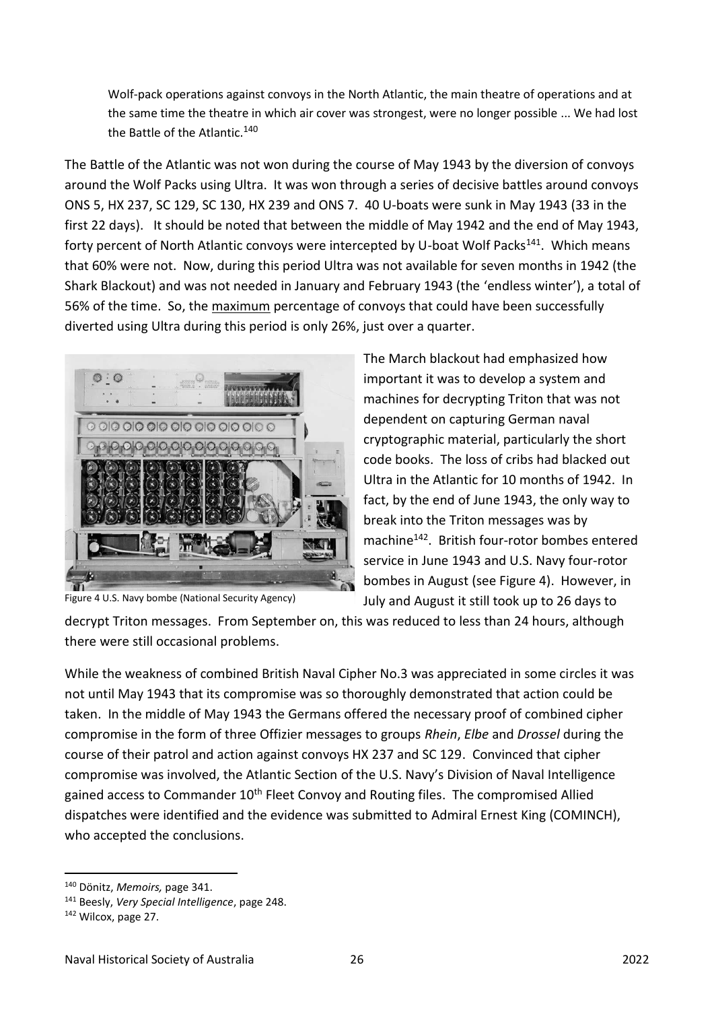Wolf-pack operations against convoys in the North Atlantic, the main theatre of operations and at the same time the theatre in which air cover was strongest, were no longer possible ... We had lost the Battle of the Atlantic.<sup>140</sup>

The Battle of the Atlantic was not won during the course of May 1943 by the diversion of convoys around the Wolf Packs using Ultra. It was won through a series of decisive battles around convoys ONS 5, HX 237, SC 129, SC 130, HX 239 and ONS 7. 40 U-boats were sunk in May 1943 (33 in the first 22 days). It should be noted that between the middle of May 1942 and the end of May 1943, forty percent of North Atlantic convoys were intercepted by U-boat Wolf Packs<sup>141</sup>. Which means that 60% were not. Now, during this period Ultra was not available for seven months in 1942 (the Shark Blackout) and was not needed in January and February 1943 (the 'endless winter'), a total of 56% of the time. So, the maximum percentage of convoys that could have been successfully diverted using Ultra during this period is only 26%, just over a quarter.



Figure 4 U.S. Navy bombe (National Security Agency)

The March blackout had emphasized how important it was to develop a system and machines for decrypting Triton that was not dependent on capturing German naval cryptographic material, particularly the short code books. The loss of cribs had blacked out Ultra in the Atlantic for 10 months of 1942. In fact, by the end of June 1943, the only way to break into the Triton messages was by machine<sup>142</sup> . British four-rotor bombes entered service in June 1943 and U.S. Navy four-rotor bombes in August (see Figure 4). However, in July and August it still took up to 26 days to

decrypt Triton messages. From September on, this was reduced to less than 24 hours, although there were still occasional problems.

While the weakness of combined British Naval Cipher No.3 was appreciated in some circles it was not until May 1943 that its compromise was so thoroughly demonstrated that action could be taken. In the middle of May 1943 the Germans offered the necessary proof of combined cipher compromise in the form of three Offizier messages to groups *Rhein*, *Elbe* and *Drossel* during the course of their patrol and action against convoys HX 237 and SC 129. Convinced that cipher compromise was involved, the Atlantic Section of the U.S. Navy's Division of Naval Intelligence gained access to Commander 10<sup>th</sup> Fleet Convoy and Routing files. The compromised Allied dispatches were identified and the evidence was submitted to Admiral Ernest King (COMINCH), who accepted the conclusions.

<sup>140</sup> Dönitz, *Memoirs,* page 341.

<sup>141</sup> Beesly, *Very Special Intelligence*, page 248.

<sup>142</sup> Wilcox, page 27.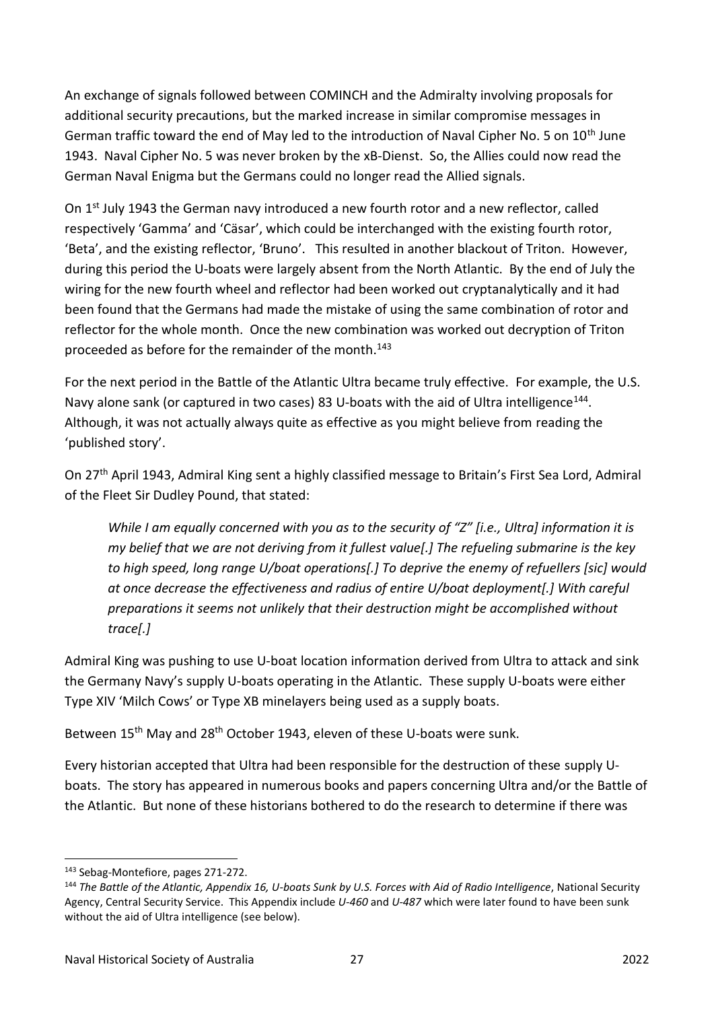An exchange of signals followed between COMINCH and the Admiralty involving proposals for additional security precautions, but the marked increase in similar compromise messages in German traffic toward the end of May led to the introduction of Naval Cipher No. 5 on 10<sup>th</sup> June 1943. Naval Cipher No. 5 was never broken by the xB-Dienst. So, the Allies could now read the German Naval Enigma but the Germans could no longer read the Allied signals.

On 1<sup>st</sup> July 1943 the German navy introduced a new fourth rotor and a new reflector, called respectively 'Gamma' and 'Cäsar', which could be interchanged with the existing fourth rotor, 'Beta', and the existing reflector, 'Bruno'. This resulted in another blackout of Triton. However, during this period the U-boats were largely absent from the North Atlantic. By the end of July the wiring for the new fourth wheel and reflector had been worked out cryptanalytically and it had been found that the Germans had made the mistake of using the same combination of rotor and reflector for the whole month. Once the new combination was worked out decryption of Triton proceeded as before for the remainder of the month.<sup>143</sup>

For the next period in the Battle of the Atlantic Ultra became truly effective. For example, the U.S. Navy alone sank (or captured in two cases) 83 U-boats with the aid of Ultra intelligence<sup>144</sup>. Although, it was not actually always quite as effective as you might believe from reading the 'published story'.

On 27th April 1943, Admiral King sent a highly classified message to Britain's First Sea Lord, Admiral of the Fleet Sir Dudley Pound, that stated:

*While I am equally concerned with you as to the security of "Z" [i.e., Ultra] information it is my belief that we are not deriving from it fullest value[.] The refueling submarine is the key to high speed, long range U/boat operations[.] To deprive the enemy of refuellers [sic] would at once decrease the effectiveness and radius of entire U/boat deployment[.] With careful preparations it seems not unlikely that their destruction might be accomplished without trace[.]*

Admiral King was pushing to use U-boat location information derived from Ultra to attack and sink the Germany Navy's supply U-boats operating in the Atlantic. These supply U-boats were either Type XIV 'Milch Cows' or Type XB minelayers being used as a supply boats.

Between 15<sup>th</sup> May and 28<sup>th</sup> October 1943, eleven of these U-boats were sunk.

Every historian accepted that Ultra had been responsible for the destruction of these supply Uboats. The story has appeared in numerous books and papers concerning Ultra and/or the Battle of the Atlantic. But none of these historians bothered to do the research to determine if there was

<sup>143</sup> Sebag-Montefiore, pages 271-272.

<sup>144</sup> *The Battle of the Atlantic, Appendix 16, U-boats Sunk by U.S. Forces with Aid of Radio Intelligence*, National Security Agency, Central Security Service. This Appendix include *U-460* and *U-487* which were later found to have been sunk without the aid of Ultra intelligence (see below).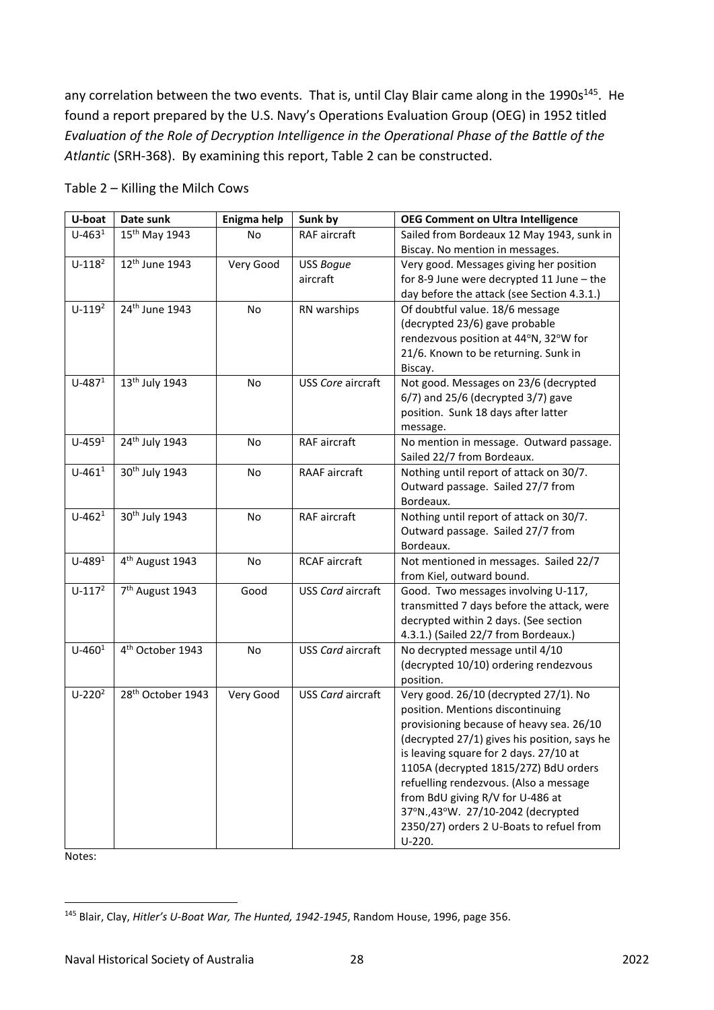any correlation between the two events. That is, until Clay Blair came along in the 1990s<sup>145</sup>. He found a report prepared by the U.S. Navy's Operations Evaluation Group (OEG) in 1952 titled *Evaluation of the Role of Decryption Intelligence in the Operational Phase of the Battle of the Atlantic* (SRH-368). By examining this report, Table 2 can be constructed.

| U-boat     | Date sunk                     | Enigma help | Sunk by                  | <b>OEG Comment on Ultra Intelligence</b>     |
|------------|-------------------------------|-------------|--------------------------|----------------------------------------------|
| $U - 4631$ | 15 <sup>th</sup> May 1943     | No          | RAF aircraft             | Sailed from Bordeaux 12 May 1943, sunk in    |
|            |                               |             |                          | Biscay. No mention in messages.              |
| $U-118^2$  | 12 <sup>th</sup> June 1943    | Very Good   | USS Bogue                | Very good. Messages giving her position      |
|            |                               |             | aircraft                 | for 8-9 June were decrypted 11 June - the    |
|            |                               |             |                          | day before the attack (see Section 4.3.1.)   |
| $U-119^2$  | 24th June 1943                | No          | RN warships              | Of doubtful value. 18/6 message              |
|            |                               |             |                          | (decrypted 23/6) gave probable               |
|            |                               |             |                          | rendezvous position at 44°N, 32°W for        |
|            |                               |             |                          | 21/6. Known to be returning. Sunk in         |
|            |                               |             |                          | Biscay.                                      |
| $U - 4871$ | 13 <sup>th</sup> July 1943    | No          | USS Core aircraft        | Not good. Messages on 23/6 (decrypted        |
|            |                               |             |                          | 6/7) and 25/6 (decrypted 3/7) gave           |
|            |                               |             |                          | position. Sunk 18 days after latter          |
|            |                               |             |                          | message.                                     |
| $U - 4591$ | 24th July 1943                | No          | RAF aircraft             | No mention in message. Outward passage.      |
|            |                               |             |                          | Sailed 22/7 from Bordeaux.                   |
| $U - 4611$ | 30 <sup>th</sup> July 1943    | No          | <b>RAAF</b> aircraft     | Nothing until report of attack on 30/7.      |
|            |                               |             |                          | Outward passage. Sailed 27/7 from            |
|            |                               |             |                          | Bordeaux.                                    |
| $U - 4621$ | 30 <sup>th</sup> July 1943    | No          | RAF aircraft             | Nothing until report of attack on 30/7.      |
|            |                               |             |                          | Outward passage. Sailed 27/7 from            |
|            |                               |             |                          | Bordeaux.                                    |
| $U - 4891$ | 4 <sup>th</sup> August 1943   | No          | <b>RCAF</b> aircraft     | Not mentioned in messages. Sailed 22/7       |
|            |                               |             |                          | from Kiel, outward bound.                    |
| $U-117^2$  | 7 <sup>th</sup> August 1943   | Good        | USS Card aircraft        | Good. Two messages involving U-117,          |
|            |                               |             |                          | transmitted 7 days before the attack, were   |
|            |                               |             |                          | decrypted within 2 days. (See section        |
|            |                               |             |                          | 4.3.1.) (Sailed 22/7 from Bordeaux.)         |
| $U - 4601$ | 4 <sup>th</sup> October 1943  | No          | <b>USS Card aircraft</b> | No decrypted message until 4/10              |
|            |                               |             |                          | (decrypted 10/10) ordering rendezvous        |
|            |                               |             |                          | position.                                    |
| $U - 2202$ | 28 <sup>th</sup> October 1943 | Very Good   | USS Card aircraft        | Very good. 26/10 (decrypted 27/1). No        |
|            |                               |             |                          | position. Mentions discontinuing             |
|            |                               |             |                          | provisioning because of heavy sea. 26/10     |
|            |                               |             |                          | (decrypted 27/1) gives his position, says he |
|            |                               |             |                          | is leaving square for 2 days. 27/10 at       |
|            |                               |             |                          | 1105A (decrypted 1815/27Z) BdU orders        |
|            |                               |             |                          | refuelling rendezvous. (Also a message       |
|            |                               |             |                          | from BdU giving R/V for U-486 at             |
|            |                               |             |                          | 37°N.,43°W. 27/10-2042 (decrypted            |
|            |                               |             |                          | 2350/27) orders 2 U-Boats to refuel from     |
|            |                               |             |                          | $U-220.$                                     |

#### Table 2 – Killing the Milch Cows

Notes:

<sup>145</sup> Blair, Clay, *Hitler's U-Boat War, The Hunted, 1942-1945*, Random House, 1996, page 356.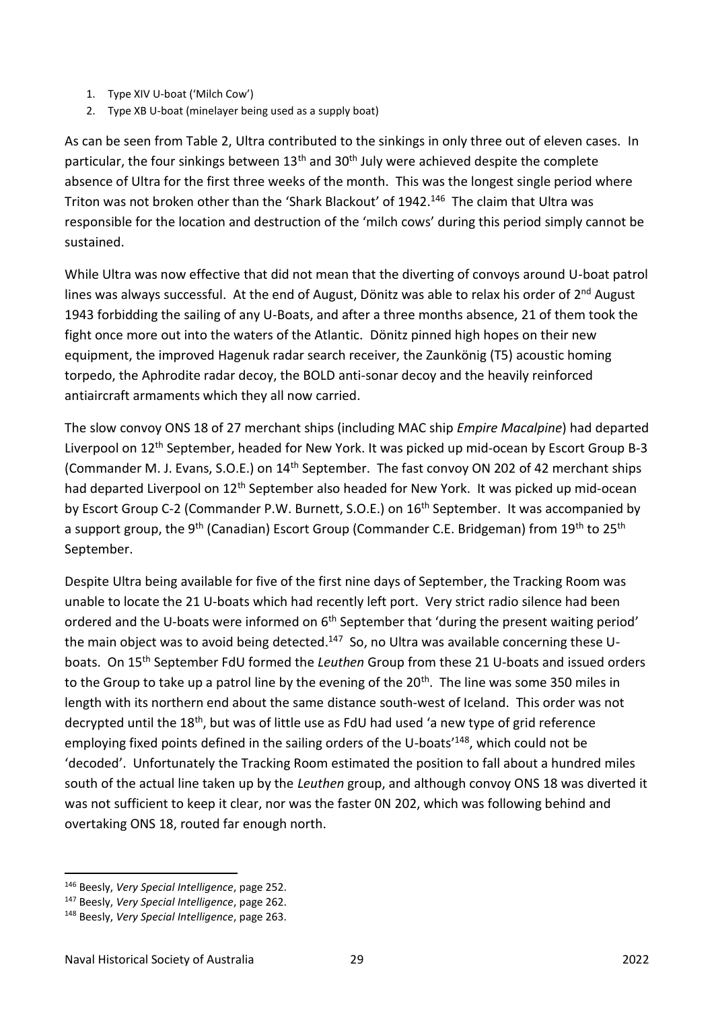- 1. Type XIV U-boat ('Milch Cow')
- 2. Type XB U-boat (minelayer being used as a supply boat)

As can be seen from Table 2, Ultra contributed to the sinkings in only three out of eleven cases. In particular, the four sinkings between 13<sup>th</sup> and 30<sup>th</sup> July were achieved despite the complete absence of Ultra for the first three weeks of the month. This was the longest single period where Triton was not broken other than the 'Shark Blackout' of 1942.<sup>146</sup> The claim that Ultra was responsible for the location and destruction of the 'milch cows' during this period simply cannot be sustained.

While Ultra was now effective that did not mean that the diverting of convoys around U-boat patrol lines was always successful. At the end of August, Dönitz was able to relax his order of 2<sup>nd</sup> August 1943 forbidding the sailing of any U-Boats, and after a three months absence, 21 of them took the fight once more out into the waters of the Atlantic. Dönitz pinned high hopes on their new equipment, the improved Hagenuk radar search receiver, the Zaunkönig (T5) acoustic homing torpedo, the Aphrodite radar decoy, the BOLD anti-sonar decoy and the heavily reinforced antiaircraft armaments which they all now carried.

The slow convoy ONS 18 of 27 merchant ships (including MAC ship *Empire Macalpine*) had departed Liverpool on 12<sup>th</sup> September, headed for New York. It was picked up mid-ocean by Escort Group B-3 (Commander M. J. Evans, S.O.E.) on 14<sup>th</sup> September. The fast convoy ON 202 of 42 merchant ships had departed Liverpool on 12<sup>th</sup> September also headed for New York. It was picked up mid-ocean by Escort Group C-2 (Commander P.W. Burnett, S.O.E.) on 16<sup>th</sup> September. It was accompanied by a support group, the 9<sup>th</sup> (Canadian) Escort Group (Commander C.E. Bridgeman) from 19<sup>th</sup> to 25<sup>th</sup> September.

Despite Ultra being available for five of the first nine days of September, the Tracking Room was unable to locate the 21 U-boats which had recently left port. Very strict radio silence had been ordered and the U-boats were informed on 6<sup>th</sup> September that 'during the present waiting period' the main object was to avoid being detected.<sup>147</sup> So, no Ultra was available concerning these Uboats. On 15th September FdU formed the *Leuthen* Group from these 21 U-boats and issued orders to the Group to take up a patrol line by the evening of the 20<sup>th</sup>. The line was some 350 miles in length with its northern end about the same distance south-west of Iceland. This order was not decrypted until the 18<sup>th</sup>, but was of little use as FdU had used 'a new type of grid reference employing fixed points defined in the sailing orders of the U-boats<sup>'148</sup>, which could not be 'decoded'. Unfortunately the Tracking Room estimated the position to fall about a hundred miles south of the actual line taken up by the *Leuthen* group, and although convoy ONS 18 was diverted it was not sufficient to keep it clear, nor was the faster 0N 202, which was following behind and overtaking ONS 18, routed far enough north.

<sup>146</sup> Beesly, *Very Special Intelligence*, page 252.

<sup>147</sup> Beesly, *Very Special Intelligence*, page 262.

<sup>148</sup> Beesly, *Very Special Intelligence*, page 263.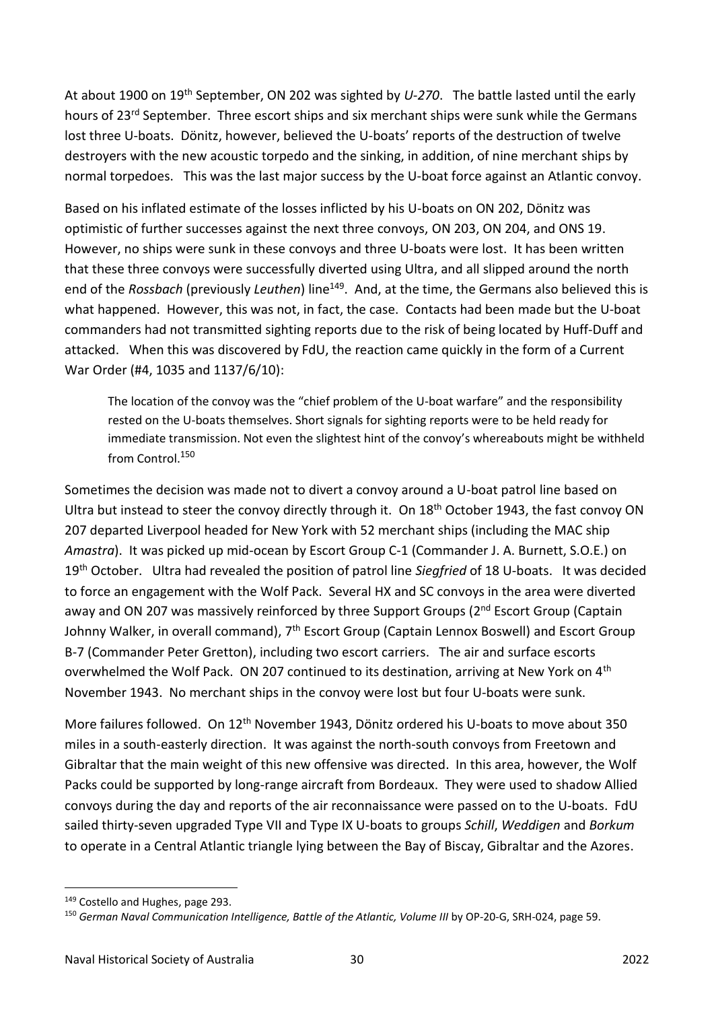At about 1900 on 19th September, ON 202 was sighted by *U-270*. The battle lasted until the early hours of 23<sup>rd</sup> September. Three escort ships and six merchant ships were sunk while the Germans lost three U-boats. Dönitz, however, believed the U-boats' reports of the destruction of twelve destroyers with the new acoustic torpedo and the sinking, in addition, of nine merchant ships by normal torpedoes. This was the last major success by the U-boat force against an Atlantic convoy.

Based on his inflated estimate of the losses inflicted by his U-boats on ON 202, Dönitz was optimistic of further successes against the next three convoys, ON 203, ON 204, and ONS 19. However, no ships were sunk in these convoys and three U-boats were lost. It has been written that these three convoys were successfully diverted using Ultra, and all slipped around the north end of the *Rossbach* (previously *Leuthen*) line<sup>149</sup>. And, at the time, the Germans also believed this is what happened. However, this was not, in fact, the case. Contacts had been made but the U-boat commanders had not transmitted sighting reports due to the risk of being located by Huff-Duff and attacked. When this was discovered by FdU, the reaction came quickly in the form of a Current War Order (#4, 1035 and 1137/6/10):

The location of the convoy was the "chief problem of the U-boat warfare" and the responsibility rested on the U-boats themselves. Short signals for sighting reports were to be held ready for immediate transmission. Not even the slightest hint of the convoy's whereabouts might be withheld from Control<sup>150</sup>

Sometimes the decision was made not to divert a convoy around a U-boat patrol line based on Ultra but instead to steer the convoy directly through it. On 18<sup>th</sup> October 1943, the fast convoy ON 207 departed Liverpool headed for New York with 52 merchant ships (including the MAC ship *Amastra*). It was picked up mid-ocean by Escort Group C-1 (Commander J. A. Burnett, S.O.E.) on 19th October. Ultra had revealed the position of patrol line *Siegfried* of 18 U-boats. It was decided to force an engagement with the Wolf Pack. Several HX and SC convoys in the area were diverted away and ON 207 was massively reinforced by three Support Groups (2<sup>nd</sup> Escort Group (Captain Johnny Walker, in overall command), 7<sup>th</sup> Escort Group (Captain Lennox Boswell) and Escort Group B-7 (Commander Peter Gretton), including two escort carriers. The air and surface escorts overwhelmed the Wolf Pack. ON 207 continued to its destination, arriving at New York on 4<sup>th</sup> November 1943. No merchant ships in the convoy were lost but four U-boats were sunk.

More failures followed. On 12<sup>th</sup> November 1943, Dönitz ordered his U-boats to move about 350 miles in a south-easterly direction. It was against the north-south convoys from Freetown and Gibraltar that the main weight of this new offensive was directed. In this area, however, the Wolf Packs could be supported by long-range aircraft from Bordeaux. They were used to shadow Allied convoys during the day and reports of the air reconnaissance were passed on to the U-boats. FdU sailed thirty-seven upgraded Type VII and Type IX U-boats to groups *Schill*, *Weddigen* and *Borkum* to operate in a Central Atlantic triangle lying between the Bay of Biscay, Gibraltar and the Azores.

<sup>&</sup>lt;sup>149</sup> Costello and Hughes, page 293.

<sup>&</sup>lt;sup>150</sup> German Naval Communication Intelligence, Battle of the Atlantic, Volume III by OP-20-G, SRH-024, page 59.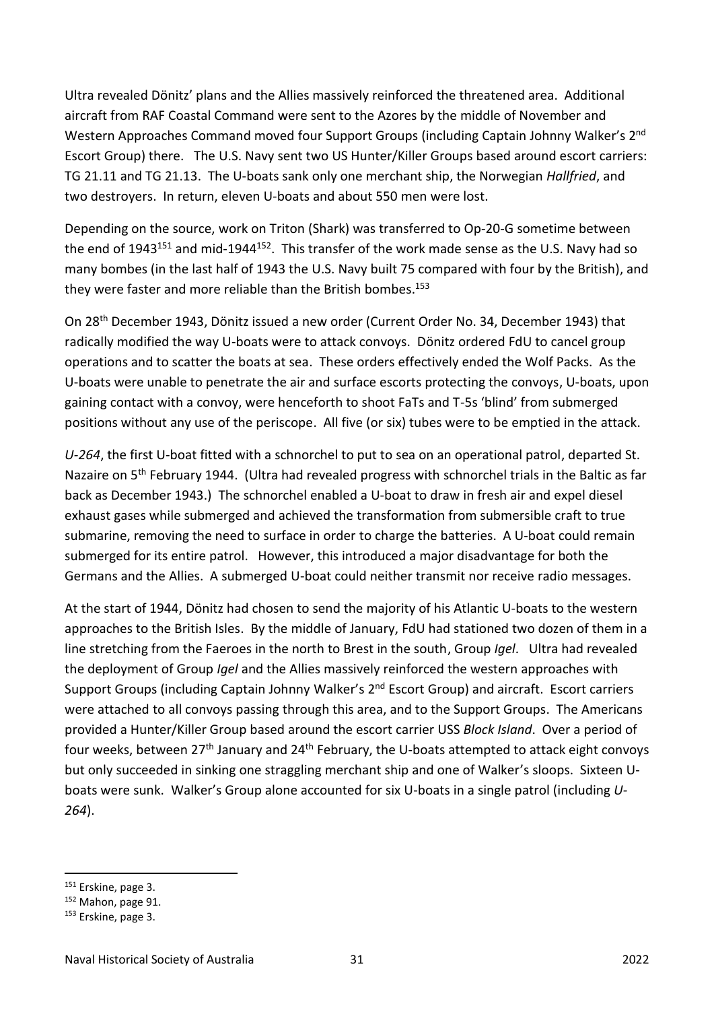Ultra revealed Dönitz' plans and the Allies massively reinforced the threatened area. Additional aircraft from RAF Coastal Command were sent to the Azores by the middle of November and Western Approaches Command moved four Support Groups (including Captain Johnny Walker's 2<sup>nd</sup> Escort Group) there. The U.S. Navy sent two US Hunter/Killer Groups based around escort carriers: TG 21.11 and TG 21.13. The U-boats sank only one merchant ship, the Norwegian *Hallfried*, and two destroyers. In return, eleven U-boats and about 550 men were lost.

Depending on the source, work on Triton (Shark) was transferred to Op-20-G sometime between the end of 1943<sup>151</sup> and mid-1944<sup>152</sup>. This transfer of the work made sense as the U.S. Navy had so many bombes (in the last half of 1943 the U.S. Navy built 75 compared with four by the British), and they were faster and more reliable than the British bombes.<sup>153</sup>

On 28th December 1943, Dönitz issued a new order (Current Order No. 34, December 1943) that radically modified the way U-boats were to attack convoys. Dönitz ordered FdU to cancel group operations and to scatter the boats at sea. These orders effectively ended the Wolf Packs. As the U-boats were unable to penetrate the air and surface escorts protecting the convoys, U-boats, upon gaining contact with a convoy, were henceforth to shoot FaTs and T-5s 'blind' from submerged positions without any use of the periscope. All five (or six) tubes were to be emptied in the attack.

*U-264*, the first U-boat fitted with a schnorchel to put to sea on an operational patrol, departed St. Nazaire on 5th February 1944. (Ultra had revealed progress with schnorchel trials in the Baltic as far back as December 1943.) The schnorchel enabled a U-boat to draw in fresh air and expel diesel exhaust gases while submerged and achieved the transformation from submersible craft to true submarine, removing the need to surface in order to charge the batteries. A U-boat could remain submerged for its entire patrol. However, this introduced a major disadvantage for both the Germans and the Allies. A submerged U-boat could neither transmit nor receive radio messages.

At the start of 1944, Dönitz had chosen to send the majority of his Atlantic U-boats to the western approaches to the British Isles. By the middle of January, FdU had stationed two dozen of them in a line stretching from the Faeroes in the north to Brest in the south, Group *Igel*. Ultra had revealed the deployment of Group *Igel* and the Allies massively reinforced the western approaches with Support Groups (including Captain Johnny Walker's 2<sup>nd</sup> Escort Group) and aircraft. Escort carriers were attached to all convoys passing through this area, and to the Support Groups. The Americans provided a Hunter/Killer Group based around the escort carrier USS *Block Island*. Over a period of four weeks, between  $27<sup>th</sup>$  January and  $24<sup>th</sup>$  February, the U-boats attempted to attack eight convoys but only succeeded in sinking one straggling merchant ship and one of Walker's sloops. Sixteen Uboats were sunk. Walker's Group alone accounted for six U-boats in a single patrol (including *U-264*).

<sup>&</sup>lt;sup>151</sup> Erskine, page 3.

<sup>152</sup> Mahon, page 91.

<sup>153</sup> Erskine, page 3.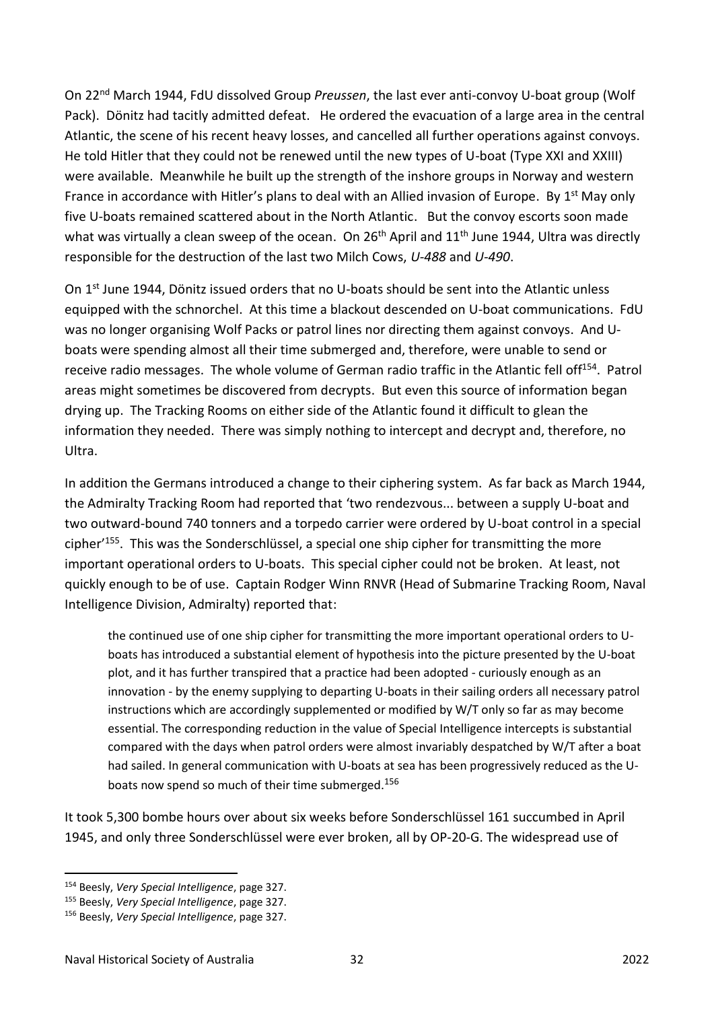On 22nd March 1944, FdU dissolved Group *Preussen*, the last ever anti-convoy U-boat group (Wolf Pack). Dönitz had tacitly admitted defeat. He ordered the evacuation of a large area in the central Atlantic, the scene of his recent heavy losses, and cancelled all further operations against convoys. He told Hitler that they could not be renewed until the new types of U-boat (Type XXI and XXIII) were available. Meanwhile he built up the strength of the inshore groups in Norway and western France in accordance with Hitler's plans to deal with an Allied invasion of Europe. By  $1^{st}$  May only five U-boats remained scattered about in the North Atlantic. But the convoy escorts soon made what was virtually a clean sweep of the ocean. On  $26<sup>th</sup>$  April and  $11<sup>th</sup>$  June 1944, Ultra was directly responsible for the destruction of the last two Milch Cows, *U-488* and *U-490*.

On 1<sup>st</sup> June 1944, Dönitz issued orders that no U-boats should be sent into the Atlantic unless equipped with the schnorchel. At this time a blackout descended on U-boat communications. FdU was no longer organising Wolf Packs or patrol lines nor directing them against convoys. And Uboats were spending almost all their time submerged and, therefore, were unable to send or receive radio messages. The whole volume of German radio traffic in the Atlantic fell off<sup>154</sup>. Patrol areas might sometimes be discovered from decrypts. But even this source of information began drying up. The Tracking Rooms on either side of the Atlantic found it difficult to glean the information they needed. There was simply nothing to intercept and decrypt and, therefore, no Ultra.

In addition the Germans introduced a change to their ciphering system. As far back as March 1944, the Admiralty Tracking Room had reported that 'two rendezvous... between a supply U-boat and two outward-bound 740 tonners and a torpedo carrier were ordered by U-boat control in a special cipher' 155 . This was the Sonderschlüssel, a special one ship cipher for transmitting the more important operational orders to U-boats. This special cipher could not be broken. At least, not quickly enough to be of use. Captain Rodger Winn RNVR (Head of Submarine Tracking Room, Naval Intelligence Division, Admiralty) reported that:

the continued use of one ship cipher for transmitting the more important operational orders to Uboats has introduced a substantial element of hypothesis into the picture presented by the U-boat plot, and it has further transpired that a practice had been adopted - curiously enough as an innovation - by the enemy supplying to departing U-boats in their sailing orders all necessary patrol instructions which are accordingly supplemented or modified by W/T only so far as may become essential. The corresponding reduction in the value of Special Intelligence intercepts is substantial compared with the days when patrol orders were almost invariably despatched by W/T after a boat had sailed. In general communication with U-boats at sea has been progressively reduced as the Uboats now spend so much of their time submerged.<sup>156</sup>

It took 5,300 bombe hours over about six weeks before Sonderschlüssel 161 succumbed in April 1945, and only three Sonderschlüssel were ever broken, all by OP-20-G. The widespread use of

<sup>154</sup> Beesly, *Very Special Intelligence*, page 327.

<sup>155</sup> Beesly, *Very Special Intelligence*, page 327.

<sup>156</sup> Beesly, *Very Special Intelligence*, page 327.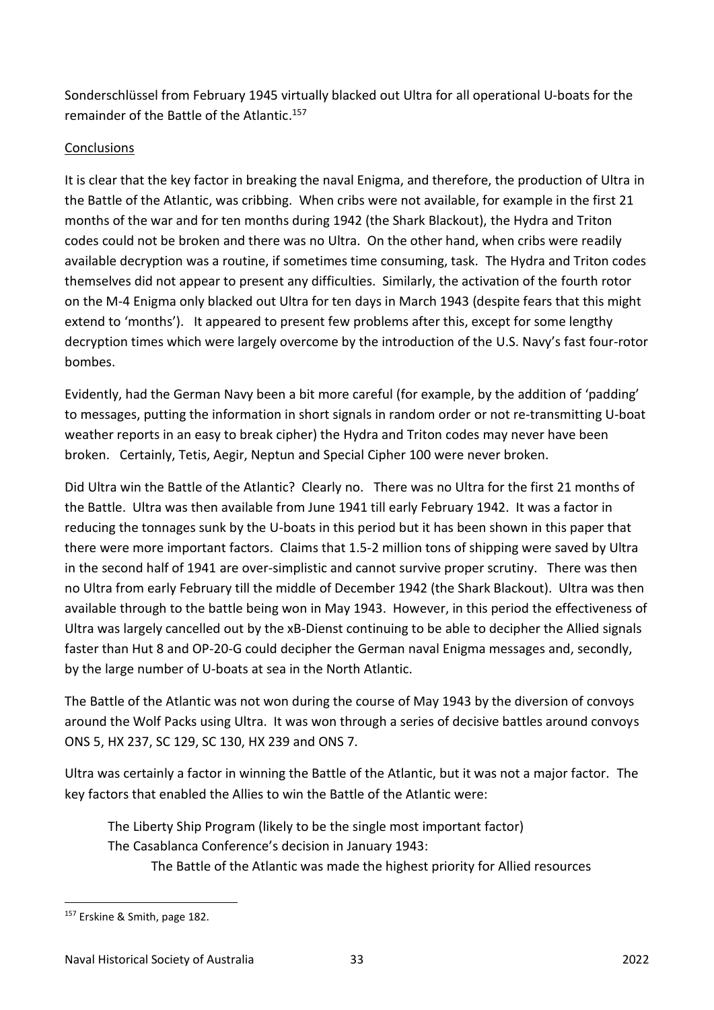Sonderschlüssel from February 1945 virtually blacked out Ultra for all operational U-boats for the remainder of the Battle of the Atlantic. 157

# Conclusions

It is clear that the key factor in breaking the naval Enigma, and therefore, the production of Ultra in the Battle of the Atlantic, was cribbing. When cribs were not available, for example in the first 21 months of the war and for ten months during 1942 (the Shark Blackout), the Hydra and Triton codes could not be broken and there was no Ultra. On the other hand, when cribs were readily available decryption was a routine, if sometimes time consuming, task. The Hydra and Triton codes themselves did not appear to present any difficulties. Similarly, the activation of the fourth rotor on the M-4 Enigma only blacked out Ultra for ten days in March 1943 (despite fears that this might extend to 'months'). It appeared to present few problems after this, except for some lengthy decryption times which were largely overcome by the introduction of the U.S. Navy's fast four-rotor bombes.

Evidently, had the German Navy been a bit more careful (for example, by the addition of 'padding' to messages, putting the information in short signals in random order or not re-transmitting U-boat weather reports in an easy to break cipher) the Hydra and Triton codes may never have been broken. Certainly, Tetis, Aegir, Neptun and Special Cipher 100 were never broken.

Did Ultra win the Battle of the Atlantic? Clearly no. There was no Ultra for the first 21 months of the Battle. Ultra was then available from June 1941 till early February 1942. It was a factor in reducing the tonnages sunk by the U-boats in this period but it has been shown in this paper that there were more important factors. Claims that 1.5-2 million tons of shipping were saved by Ultra in the second half of 1941 are over-simplistic and cannot survive proper scrutiny. There was then no Ultra from early February till the middle of December 1942 (the Shark Blackout). Ultra was then available through to the battle being won in May 1943. However, in this period the effectiveness of Ultra was largely cancelled out by the xB-Dienst continuing to be able to decipher the Allied signals faster than Hut 8 and OP-20-G could decipher the German naval Enigma messages and, secondly, by the large number of U-boats at sea in the North Atlantic.

The Battle of the Atlantic was not won during the course of May 1943 by the diversion of convoys around the Wolf Packs using Ultra. It was won through a series of decisive battles around convoys ONS 5, HX 237, SC 129, SC 130, HX 239 and ONS 7.

Ultra was certainly a factor in winning the Battle of the Atlantic, but it was not a major factor. The key factors that enabled the Allies to win the Battle of the Atlantic were:

The Liberty Ship Program (likely to be the single most important factor) The Casablanca Conference's decision in January 1943: The Battle of the Atlantic was made the highest priority for Allied resources

<sup>157</sup> Erskine & Smith, page 182.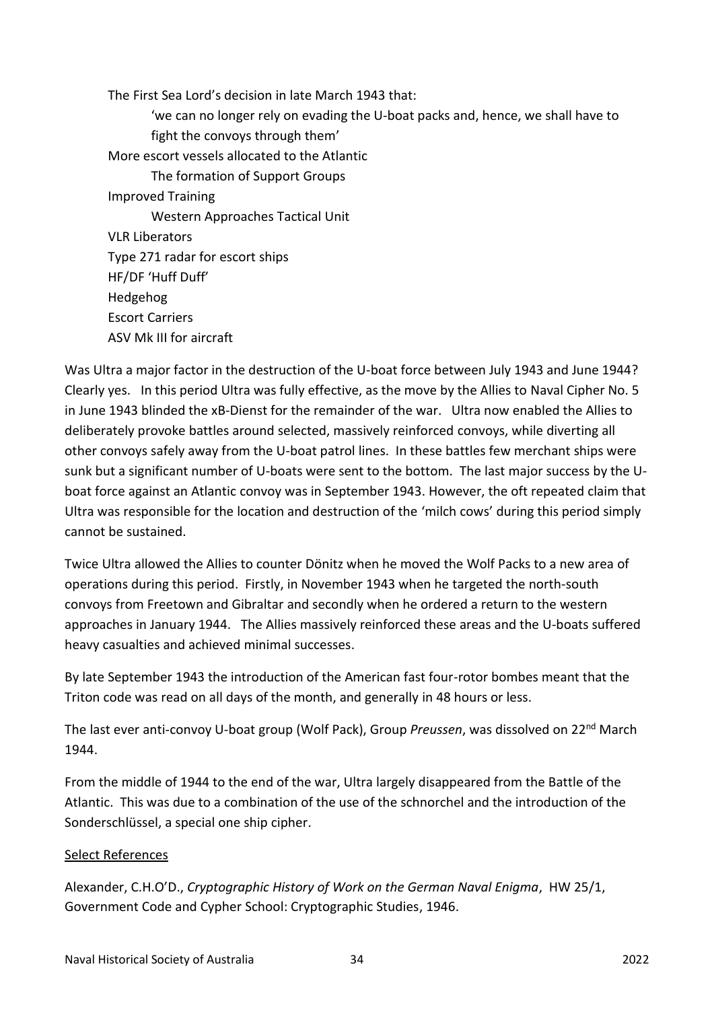The First Sea Lord's decision in late March 1943 that: 'we can no longer rely on evading the U-boat packs and, hence, we shall have to fight the convoys through them' More escort vessels allocated to the Atlantic The formation of Support Groups Improved Training Western Approaches Tactical Unit VLR Liberators Type 271 radar for escort ships HF/DF 'Huff Duff' Hedgehog Escort Carriers ASV Mk III for aircraft

Was Ultra a major factor in the destruction of the U-boat force between July 1943 and June 1944? Clearly yes. In this period Ultra was fully effective, as the move by the Allies to Naval Cipher No. 5 in June 1943 blinded the xB-Dienst for the remainder of the war. Ultra now enabled the Allies to deliberately provoke battles around selected, massively reinforced convoys, while diverting all other convoys safely away from the U-boat patrol lines. In these battles few merchant ships were sunk but a significant number of U-boats were sent to the bottom. The last major success by the Uboat force against an Atlantic convoy was in September 1943. However, the oft repeated claim that Ultra was responsible for the location and destruction of the 'milch cows' during this period simply cannot be sustained.

Twice Ultra allowed the Allies to counter Dönitz when he moved the Wolf Packs to a new area of operations during this period. Firstly, in November 1943 when he targeted the north-south convoys from Freetown and Gibraltar and secondly when he ordered a return to the western approaches in January 1944. The Allies massively reinforced these areas and the U-boats suffered heavy casualties and achieved minimal successes.

By late September 1943 the introduction of the American fast four-rotor bombes meant that the Triton code was read on all days of the month, and generally in 48 hours or less.

The last ever anti-convoy U-boat group (Wolf Pack), Group *Preussen*, was dissolved on 22nd March 1944.

From the middle of 1944 to the end of the war, Ultra largely disappeared from the Battle of the Atlantic. This was due to a combination of the use of the schnorchel and the introduction of the Sonderschlüssel, a special one ship cipher.

### Select References

Alexander, C.H.O'D., *Cryptographic History of Work on the German Naval Enigma*, HW 25/1, Government Code and Cypher School: Cryptographic Studies, 1946.